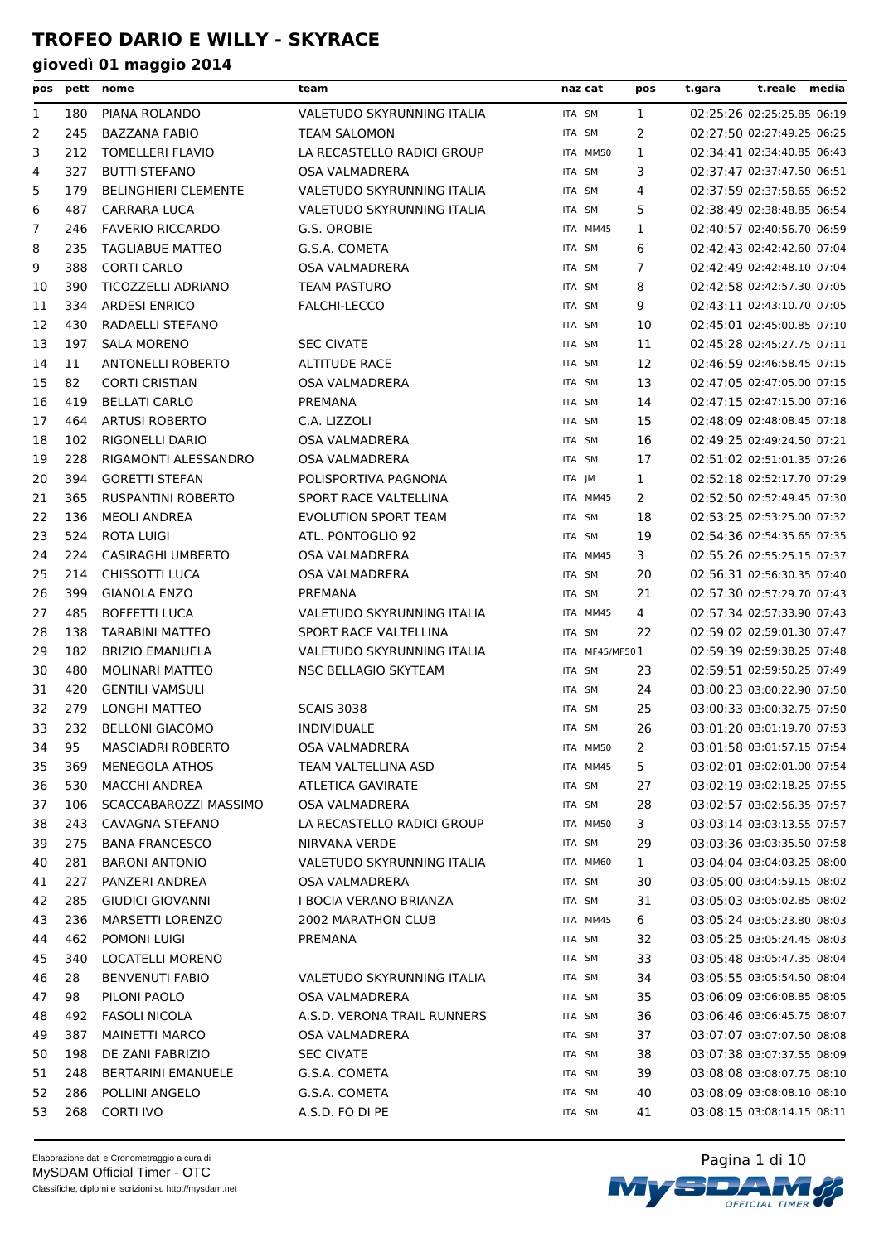| pos |     | pett nome                   | team                        | naz cat        | pos            | t.gara | t.reale media              |  |
|-----|-----|-----------------------------|-----------------------------|----------------|----------------|--------|----------------------------|--|
| 1   | 180 | PIANA ROLANDO               | VALETUDO SKYRUNNING ITALIA  | ITA SM         | $\mathbf{1}$   |        | 02:25:26 02:25:25.85 06:19 |  |
| 2   | 245 | <b>BAZZANA FABIO</b>        | <b>TEAM SALOMON</b>         | ITA SM         | 2              |        | 02:27:50 02:27:49.25 06:25 |  |
| 3   | 212 | <b>TOMELLERI FLAVIO</b>     | LA RECASTELLO RADICI GROUP  | ITA MM50       | 1              |        | 02:34:41 02:34:40.85 06:43 |  |
| 4   | 327 | <b>BUTTI STEFANO</b>        | <b>OSA VALMADRERA</b>       | ITA SM         | 3              |        | 02:37:47 02:37:47.50 06:51 |  |
| 5   | 179 | <b>BELINGHIERI CLEMENTE</b> | VALETUDO SKYRUNNING ITALIA  | ITA SM         | 4              |        | 02:37:59 02:37:58.65 06:52 |  |
| 6   | 487 | <b>CARRARA LUCA</b>         | VALETUDO SKYRUNNING ITALIA  | ITA SM         | 5              |        | 02:38:49 02:38:48.85 06:54 |  |
| 7   | 246 | <b>FAVERIO RICCARDO</b>     | G.S. OROBIE                 | ITA MM45       | 1              |        | 02:40:57 02:40:56.70 06:59 |  |
| 8   | 235 | <b>TAGLIABUE MATTEO</b>     | G.S.A. COMETA               | ITA SM         | 6              |        | 02:42:43 02:42:42.60 07:04 |  |
| 9   | 388 | <b>CORTI CARLO</b>          | <b>OSA VALMADRERA</b>       | ITA SM         | 7              |        | 02:42:49 02:42:48.10 07:04 |  |
| 10  | 390 | <b>TICOZZELLI ADRIANO</b>   | <b>TEAM PASTURO</b>         | ITA SM         | 8              |        | 02:42:58 02:42:57.30 07:05 |  |
| 11  | 334 | <b>ARDESI ENRICO</b>        | <b>FALCHI-LECCO</b>         | ITA SM         | 9              |        | 02:43:11 02:43:10.70 07:05 |  |
| 12  | 430 | RADAELLI STEFANO            |                             | ITA SM         | 10             |        | 02:45:01 02:45:00.85 07:10 |  |
| 13  | 197 | <b>SALA MORENO</b>          | <b>SEC CIVATE</b>           | ITA SM         | 11             |        | 02:45:28 02:45:27.75 07:11 |  |
| 14  | 11  | <b>ANTONELLI ROBERTO</b>    | <b>ALTITUDE RACE</b>        | ITA SM         | 12             |        | 02:46:59 02:46:58.45 07:15 |  |
| 15  | 82  | <b>CORTI CRISTIAN</b>       | <b>OSA VALMADRERA</b>       | ITA SM         | 13             |        | 02:47:05 02:47:05.00 07:15 |  |
| 16  | 419 | <b>BELLATI CARLO</b>        | PREMANA                     | ITA SM         | 14             |        | 02:47:15 02:47:15.00 07:16 |  |
| 17  | 464 | <b>ARTUSI ROBERTO</b>       | C.A. LIZZOLI                | ITA SM         | 15             |        | 02:48:09 02:48:08.45 07:18 |  |
| 18  | 102 | RIGONELLI DARIO             | <b>OSA VALMADRERA</b>       | ITA SM         | 16             |        | 02:49:25 02:49:24.50 07:21 |  |
| 19  | 228 | RIGAMONTI ALESSANDRO        | <b>OSA VALMADRERA</b>       | ITA SM         | 17             |        | 02:51:02 02:51:01.35 07:26 |  |
| 20  | 394 | <b>GORETTI STEFAN</b>       | POLISPORTIVA PAGNONA        | ITA JM         | $\mathbf{1}$   |        | 02:52:18 02:52:17.70 07:29 |  |
| 21  | 365 | <b>RUSPANTINI ROBERTO</b>   | SPORT RACE VALTELLINA       | ITA MM45       | 2              |        | 02:52:50 02:52:49.45 07:30 |  |
| 22  | 136 | <b>MEOLI ANDREA</b>         | <b>EVOLUTION SPORT TEAM</b> | ITA SM         | 18             |        | 02:53:25 02:53:25.00 07:32 |  |
| 23  | 524 | ROTA LUIGI                  | ATL. PONTOGLIO 92           | ITA SM         | 19             |        | 02:54:36 02:54:35.65 07:35 |  |
| 24  | 224 | <b>CASIRAGHI UMBERTO</b>    | <b>OSA VALMADRERA</b>       | ITA MM45       | 3              |        | 02:55:26 02:55:25.15 07:37 |  |
| 25  | 214 | <b>CHISSOTTI LUCA</b>       | OSA VALMADRERA              | ITA SM         | 20             |        | 02:56:31 02:56:30.35 07:40 |  |
| 26  | 399 | <b>GIANOLA ENZO</b>         | PREMANA                     | ITA SM         | 21             |        | 02:57:30 02:57:29.70 07:43 |  |
| 27  | 485 | <b>BOFFETTI LUCA</b>        | VALETUDO SKYRUNNING ITALIA  | ITA MM45       | 4              |        | 02:57:34 02:57:33.90 07:43 |  |
| 28  | 138 | TARABINI MATTEO             | SPORT RACE VALTELLINA       | ITA SM         | 22             |        | 02:59:02 02:59:01.30 07:47 |  |
| 29  | 182 | <b>BRIZIO EMANUELA</b>      | VALETUDO SKYRUNNING ITALIA  | ITA MF45/MF501 |                |        | 02:59:39 02:59:38.25 07:48 |  |
| 30  | 480 | <b>MOLINARI MATTEO</b>      | NSC BELLAGIO SKYTEAM        | ITA SM         | 23             |        | 02:59:51 02:59:50.25 07:49 |  |
| 31  | 420 | <b>GENTILI VAMSULI</b>      |                             | ITA SM         | 24             |        | 03:00:23 03:00:22.90 07:50 |  |
| 32  | 279 | <b>LONGHI MATTEO</b>        | <b>SCAIS 3038</b>           | ITA SM         | 25             |        | 03:00:33 03:00:32.75 07:50 |  |
| 33  | 232 | <b>BELLONI GIACOMO</b>      | <b>INDIVIDUALE</b>          | ITA SM         | 26             |        | 03:01:20 03:01:19.70 07:53 |  |
| 34  | 95  | MASCIADRI ROBERTO           | OSA VALMADRERA              | ITA MM50       | $\overline{2}$ |        | 03:01:58 03:01:57.15 07:54 |  |
| 35  | 369 | MENEGOLA ATHOS              | TEAM VALTELLINA ASD         | ITA MM45       | 5              |        | 03:02:01 03:02:01.00 07:54 |  |
| 36  | 530 | <b>MACCHI ANDREA</b>        | ATLETICA GAVIRATE           | ITA SM         | 27             |        | 03:02:19 03:02:18.25 07:55 |  |
| 37  | 106 | SCACCABAROZZI MASSIMO       | <b>OSA VALMADRERA</b>       | ITA SM         | 28             |        | 03:02:57 03:02:56.35 07:57 |  |
| 38  | 243 | CAVAGNA STEFANO             | LA RECASTELLO RADICI GROUP  | ITA MM50       | 3              |        | 03:03:14 03:03:13.55 07:57 |  |
| 39  | 275 | <b>BANA FRANCESCO</b>       | NIRVANA VERDE               | ITA SM         | 29             |        | 03:03:36 03:03:35.50 07:58 |  |
| 40  | 281 | <b>BARONI ANTONIO</b>       | VALETUDO SKYRUNNING ITALIA  | ITA MM60       | $\mathbf{1}$   |        | 03:04:04 03:04:03.25 08:00 |  |
| 41  | 227 | PANZERI ANDREA              | OSA VALMADRERA              | ITA SM         | 30             |        | 03:05:00 03:04:59.15 08:02 |  |
| 42  | 285 | <b>GIUDICI GIOVANNI</b>     | I BOCIA VERANO BRIANZA      | ITA SM         | 31             |        | 03:05:03 03:05:02.85 08:02 |  |
| 43  | 236 | MARSETTI LORENZO            | 2002 MARATHON CLUB          | ITA MM45       | 6              |        | 03:05:24 03:05:23.80 08:03 |  |
| 44  | 462 | POMONI LUIGI                | PREMANA                     | ITA SM         | 32             |        | 03:05:25 03:05:24.45 08:03 |  |
| 45  | 340 | LOCATELLI MORENO            |                             | ITA SM         | 33             |        | 03:05:48 03:05:47.35 08:04 |  |
| 46  | 28  | <b>BENVENUTI FABIO</b>      | VALETUDO SKYRUNNING ITALIA  | ITA SM         | 34             |        | 03:05:55 03:05:54.50 08:04 |  |
| 47  | 98  | PILONI PAOLO                | OSA VALMADRERA              | ITA SM         | 35             |        | 03:06:09 03:06:08.85 08:05 |  |
| 48  | 492 | <b>FASOLI NICOLA</b>        | A.S.D. VERONA TRAIL RUNNERS | ITA SM         | 36             |        | 03:06:46 03:06:45.75 08:07 |  |
| 49  | 387 | <b>MAINETTI MARCO</b>       | OSA VALMADRERA              | ITA SM         | 37             |        | 03:07:07 03:07:07.50 08:08 |  |
| 50  | 198 | DE ZANI FABRIZIO            | <b>SEC CIVATE</b>           | ITA SM         | 38             |        | 03:07:38 03:07:37.55 08:09 |  |
| 51  | 248 | <b>BERTARINI EMANUELE</b>   | G.S.A. COMETA               | ITA SM         | 39             |        | 03:08:08 03:08:07.75 08:10 |  |
| 52  | 286 | POLLINI ANGELO              | G.S.A. COMETA               | ITA SM         | 40             |        | 03:08:09 03:08:08.10 08:10 |  |
| 53  | 268 | <b>CORTI IVO</b>            | A.S.D. FO DI PE             | ITA SM         | 41             |        | 03:08:15 03:08:14.15 08:11 |  |

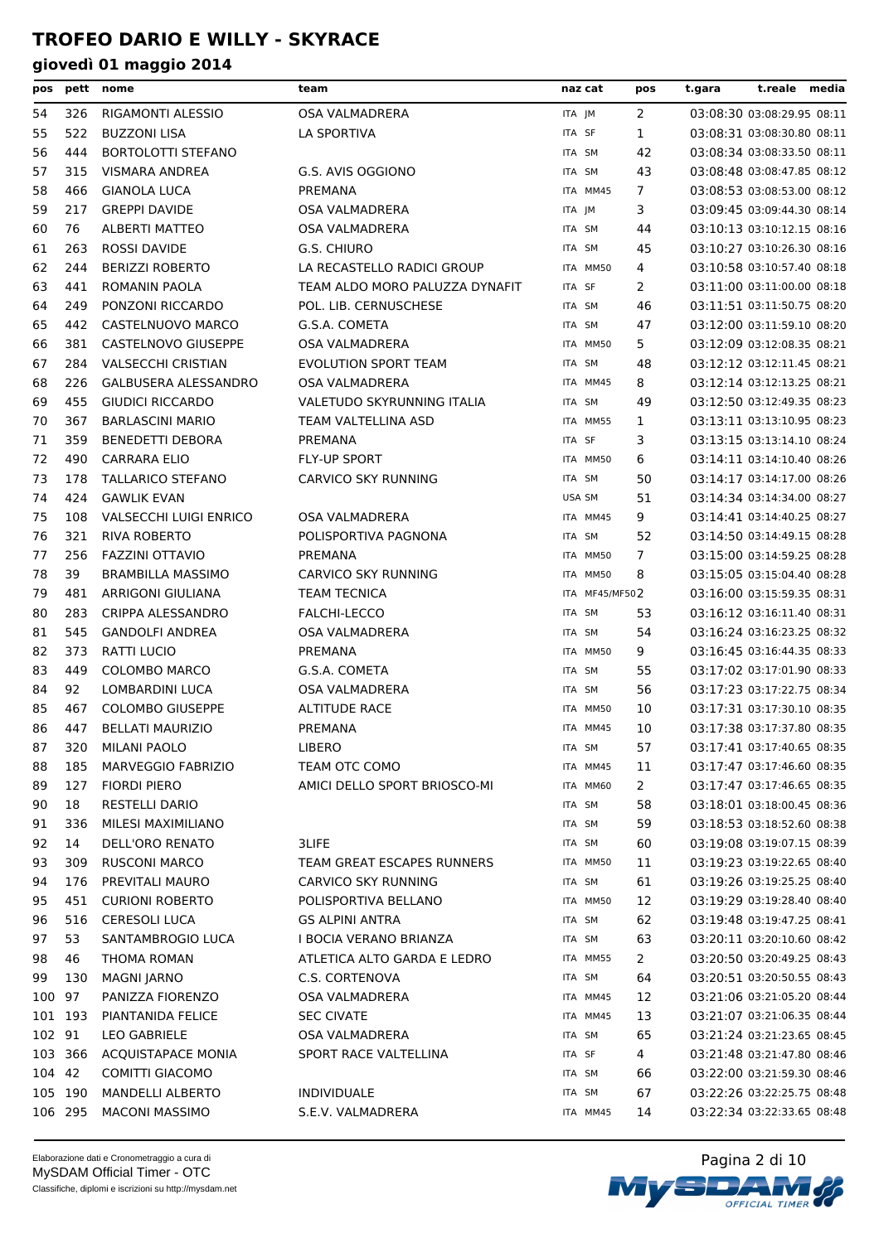| pos     |     | pett nome                     | team                           | naz cat  |                | pos            | t.gara | t.reale media              |  |
|---------|-----|-------------------------------|--------------------------------|----------|----------------|----------------|--------|----------------------------|--|
| 54      | 326 | RIGAMONTI ALESSIO             | OSA VALMADRERA                 | ITA JM   |                | 2              |        | 03:08:30 03:08:29.95 08:11 |  |
| 55      | 522 | <b>BUZZONI LISA</b>           | LA SPORTIVA                    | ITA SF   |                | $\mathbf{1}$   |        | 03:08:31 03:08:30.80 08:11 |  |
| 56      | 444 | <b>BORTOLOTTI STEFANO</b>     |                                | ITA SM   |                | 42             |        | 03:08:34 03:08:33.50 08:11 |  |
| 57      | 315 | VISMARA ANDREA                | G.S. AVIS OGGIONO              | ITA SM   |                | 43             |        | 03:08:48 03:08:47.85 08:12 |  |
| 58      | 466 | <b>GIANOLA LUCA</b>           | PREMANA                        | ITA MM45 |                | 7              |        | 03:08:53 03:08:53.00 08:12 |  |
| 59      | 217 | <b>GREPPI DAVIDE</b>          | OSA VALMADRERA                 | ITA JM   |                | 3              |        | 03:09:45 03:09:44.30 08:14 |  |
| 60      | 76  | <b>ALBERTI MATTEO</b>         | <b>OSA VALMADRERA</b>          | ITA SM   |                | 44             |        | 03:10:13 03:10:12.15 08:16 |  |
| 61      | 263 | <b>ROSSI DAVIDE</b>           | G.S. CHIURO                    | ITA SM   |                | 45             |        | 03:10:27 03:10:26.30 08:16 |  |
| 62      | 244 | <b>BERIZZI ROBERTO</b>        | LA RECASTELLO RADICI GROUP     | ITA MM50 |                | 4              |        | 03:10:58 03:10:57.40 08:18 |  |
| 63      | 441 | ROMANIN PAOLA                 | TEAM ALDO MORO PALUZZA DYNAFIT | ITA SF   |                | $\overline{2}$ |        | 03:11:00 03:11:00.00 08:18 |  |
| 64      | 249 | PONZONI RICCARDO              | POL. LIB. CERNUSCHESE          | ITA SM   |                | 46             |        | 03:11:51 03:11:50.75 08:20 |  |
| 65      | 442 | CASTELNUOVO MARCO             | G.S.A. COMETA                  | ITA SM   |                | 47             |        | 03:12:00 03:11:59.10 08:20 |  |
| 66      | 381 | CASTELNOVO GIUSEPPE           | OSA VALMADRERA                 | ITA MM50 |                | 5              |        | 03:12:09 03:12:08.35 08:21 |  |
| 67      | 284 | <b>VALSECCHI CRISTIAN</b>     | EVOLUTION SPORT TEAM           | ITA SM   |                | 48             |        | 03:12:12 03:12:11.45 08:21 |  |
| 68      | 226 | <b>GALBUSERA ALESSANDRO</b>   | <b>OSA VALMADRERA</b>          | ITA MM45 |                | 8              |        | 03:12:14 03:12:13.25 08:21 |  |
| 69      | 455 | <b>GIUDICI RICCARDO</b>       | VALETUDO SKYRUNNING ITALIA     | ITA SM   |                | 49             |        | 03:12:50 03:12:49.35 08:23 |  |
| 70      | 367 | <b>BARLASCINI MARIO</b>       | TEAM VALTELLINA ASD            | ITA MM55 |                | 1              |        | 03:13:11 03:13:10.95 08:23 |  |
| 71      | 359 | <b>BENEDETTI DEBORA</b>       | PREMANA                        | ITA SF   |                | 3              |        | 03:13:15 03:13:14.10 08:24 |  |
| 72      | 490 | <b>CARRARA ELIO</b>           | <b>FLY-UP SPORT</b>            | ITA MM50 |                | 6              |        | 03:14:11 03:14:10.40 08:26 |  |
| 73      | 178 | <b>TALLARICO STEFANO</b>      | CARVICO SKY RUNNING            | ITA SM   |                | 50             |        | 03:14:17 03:14:17.00 08:26 |  |
| 74      | 424 | <b>GAWLIK EVAN</b>            |                                | USA SM   |                | 51             |        | 03:14:34 03:14:34.00 08:27 |  |
| 75      | 108 | <b>VALSECCHI LUIGI ENRICO</b> | OSA VALMADRERA                 | ITA MM45 |                | 9              |        | 03:14:41 03:14:40.25 08:27 |  |
| 76      | 321 | <b>RIVA ROBERTO</b>           | POLISPORTIVA PAGNONA           | ITA SM   |                | 52             |        | 03:14:50 03:14:49.15 08:28 |  |
| 77      | 256 | <b>FAZZINI OTTAVIO</b>        | PREMANA                        | ITA MM50 |                | $\overline{7}$ |        | 03:15:00 03:14:59.25 08:28 |  |
| 78      | 39  | <b>BRAMBILLA MASSIMO</b>      | CARVICO SKY RUNNING            | ITA MM50 |                | 8              |        | 03:15:05 03:15:04.40 08:28 |  |
| 79      | 481 | ARRIGONI GIULIANA             | <b>TEAM TECNICA</b>            |          | ITA MF45/MF502 |                |        | 03:16:00 03:15:59.35 08:31 |  |
| 80      | 283 | CRIPPA ALESSANDRO             | FALCHI-LECCO                   | ITA SM   |                | 53             |        | 03:16:12 03:16:11.40 08:31 |  |
| 81      | 545 | <b>GANDOLFI ANDREA</b>        | OSA VALMADRERA                 | ITA SM   |                | 54             |        | 03:16:24 03:16:23.25 08:32 |  |
| 82      | 373 | RATTI LUCIO                   | PREMANA                        | ITA MM50 |                | 9              |        | 03:16:45 03:16:44.35 08:33 |  |
| 83      | 449 | <b>COLOMBO MARCO</b>          | G.S.A. COMETA                  | ITA SM   |                | 55             |        | 03:17:02 03:17:01.90 08:33 |  |
| 84      | 92  | <b>LOMBARDINI LUCA</b>        | OSA VALMADRERA                 | ITA SM   |                | 56             |        | 03:17:23 03:17:22.75 08:34 |  |
| 85      | 467 | <b>COLOMBO GIUSEPPE</b>       | <b>ALTITUDE RACE</b>           | ITA MM50 |                | 10             |        | 03:17:31 03:17:30.10 08:35 |  |
| 86      | 447 | <b>BELLATI MAURIZIO</b>       | PREMANA                        | ITA MM45 |                | 10             |        | 03:17:38 03:17:37.80 08:35 |  |
| 87      |     | 320 MILANI PAOLO              | LIBERO                         | ITA SM   |                | 57             |        | 03:17:41 03:17:40.65 08:35 |  |
| 88      | 185 | MARVEGGIO FABRIZIO            | TEAM OTC COMO                  | ITA MM45 |                | 11             |        | 03:17:47 03:17:46.60 08:35 |  |
| 89      | 127 | <b>FIORDI PIERO</b>           | AMICI DELLO SPORT BRIOSCO-MI   | ITA MM60 |                | $\overline{2}$ |        | 03:17:47 03:17:46.65 08:35 |  |
| 90      | 18  | <b>RESTELLI DARIO</b>         |                                | ITA SM   |                | 58             |        | 03:18:01 03:18:00.45 08:36 |  |
| 91      | 336 | MILESI MAXIMILIANO            |                                | ITA SM   |                | 59             |        | 03:18:53 03:18:52.60 08:38 |  |
| 92      | 14  | DELL'ORO RENATO               | 3LIFE                          | ITA SM   |                | 60             |        | 03:19:08 03:19:07.15 08:39 |  |
| 93      | 309 | <b>RUSCONI MARCO</b>          | TEAM GREAT ESCAPES RUNNERS     | ITA MM50 |                | 11             |        | 03:19:23 03:19:22.65 08:40 |  |
| 94      | 176 | PREVITALI MAURO               | CARVICO SKY RUNNING            | ITA SM   |                | 61             |        | 03:19:26 03:19:25.25 08:40 |  |
| 95      | 451 | <b>CURIONI ROBERTO</b>        | POLISPORTIVA BELLANO           | ITA MM50 |                | 12             |        | 03:19:29 03:19:28.40 08:40 |  |
| 96      | 516 | <b>CERESOLI LUCA</b>          | <b>GS ALPINI ANTRA</b>         | ITA SM   |                | 62             |        | 03:19:48 03:19:47.25 08:41 |  |
| 97      | 53  | SANTAMBROGIO LUCA             | I BOCIA VERANO BRIANZA         | ITA SM   |                | 63             |        | 03:20:11 03:20:10.60 08:42 |  |
| 98      | 46  | THOMA ROMAN                   | ATLETICA ALTO GARDA E LEDRO    | ITA MM55 |                | $\overline{2}$ |        | 03:20:50 03:20:49.25 08:43 |  |
| 99      | 130 | <b>MAGNI JARNO</b>            | C.S. CORTENOVA                 | ITA SM   |                | 64             |        | 03:20:51 03:20:50.55 08:43 |  |
| 100 97  |     | PANIZZA FIORENZO              | OSA VALMADRERA                 | ITA MM45 |                | 12             |        | 03:21:06 03:21:05.20 08:44 |  |
| 101 193 |     | PIANTANIDA FELICE             | <b>SEC CIVATE</b>              | ITA MM45 |                | 13             |        | 03:21:07 03:21:06.35 08:44 |  |
| 102 91  |     | <b>LEO GABRIELE</b>           | OSA VALMADRERA                 | ITA SM   |                | 65             |        | 03:21:24 03:21:23.65 08:45 |  |
| 103 366 |     | <b>ACQUISTAPACE MONIA</b>     | SPORT RACE VALTELLINA          | ITA SF   |                | 4              |        | 03:21:48 03:21:47.80 08:46 |  |
| 104 42  |     | <b>COMITTI GIACOMO</b>        |                                | ITA SM   |                | 66             |        | 03:22:00 03:21:59.30 08:46 |  |
| 105 190 |     | MANDELLI ALBERTO              | <b>INDIVIDUALE</b>             | ITA SM   |                | 67             |        | 03:22:26 03:22:25.75 08:48 |  |
| 106 295 |     | MACONI MASSIMO                | S.E.V. VALMADRERA              | ITA MM45 |                | 14             |        | 03:22:34 03:22:33.65 08:48 |  |

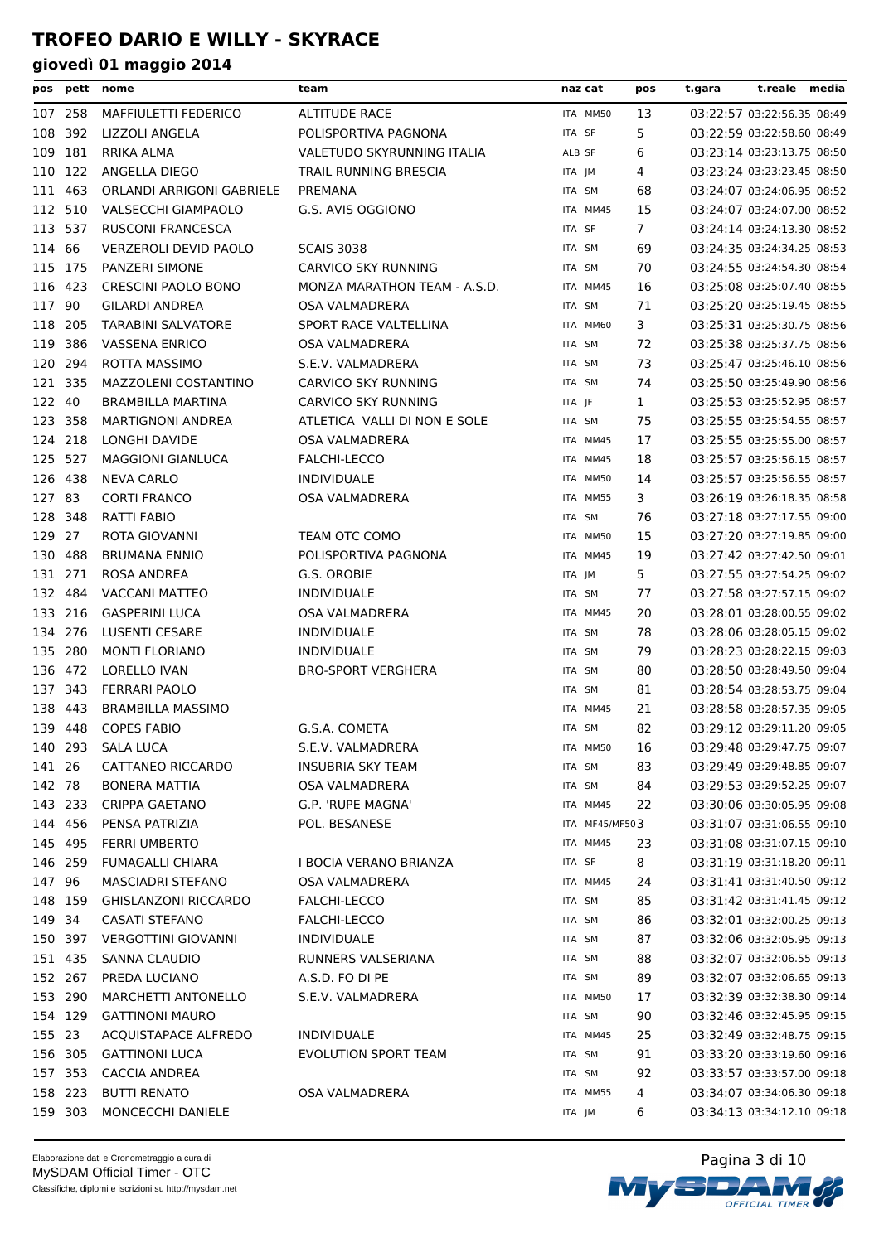| pos     |         | pett nome                    | team                         | naz cat        | pos | t.gara | t.reale media              |  |
|---------|---------|------------------------------|------------------------------|----------------|-----|--------|----------------------------|--|
|         | 107 258 | MAFFIULETTI FEDERICO         | <b>ALTITUDE RACE</b>         | ITA MM50       | 13  |        | 03:22:57 03:22:56.35 08:49 |  |
| 108     | 392     | LIZZOLI ANGELA               | POLISPORTIVA PAGNONA         | ITA SF         | 5   |        | 03:22:59 03:22:58.60 08:49 |  |
|         | 109 181 | RRIKA ALMA                   | VALETUDO SKYRUNNING ITALIA   | ALB SF         | 6   |        | 03:23:14 03:23:13.75 08:50 |  |
|         | 110 122 | ANGELLA DIEGO                | TRAIL RUNNING BRESCIA        | ITA JM         | 4   |        | 03:23:24 03:23:23.45 08:50 |  |
| 111 463 |         | ORLANDI ARRIGONI GABRIELE    | PREMANA                      | ITA SM         | 68  |        | 03:24:07 03:24:06.95 08:52 |  |
| 112 510 |         | VALSECCHI GIAMPAOLO          | G.S. AVIS OGGIONO            | ITA MM45       | 15  |        | 03:24:07 03:24:07.00 08:52 |  |
|         | 113 537 | <b>RUSCONI FRANCESCA</b>     |                              | ITA SF         | 7   |        | 03:24:14 03:24:13.30 08:52 |  |
| 114 66  |         | <b>VERZEROLI DEVID PAOLO</b> | <b>SCAIS 3038</b>            | ITA SM         | 69  |        | 03:24:35 03:24:34.25 08:53 |  |
| 115 175 |         | <b>PANZERI SIMONE</b>        | <b>CARVICO SKY RUNNING</b>   | ITA SM         | 70  |        | 03:24:55 03:24:54.30 08:54 |  |
| 116 423 |         | <b>CRESCINI PAOLO BONO</b>   | MONZA MARATHON TEAM - A.S.D. | ITA MM45       | 16  |        | 03:25:08 03:25:07.40 08:55 |  |
| 117 90  |         | <b>GILARDI ANDREA</b>        | OSA VALMADRERA               | ITA SM         | 71  |        | 03:25:20 03:25:19.45 08:55 |  |
| 118 205 |         | <b>TARABINI SALVATORE</b>    | SPORT RACE VALTELLINA        | ITA MM60       | 3   |        | 03:25:31 03:25:30.75 08:56 |  |
|         | 119 386 | <b>VASSENA ENRICO</b>        | OSA VALMADRERA               | ITA SM         | 72  |        | 03:25:38 03:25:37.75 08:56 |  |
|         | 120 294 | ROTTA MASSIMO                | S.E.V. VALMADRERA            | ITA SM         | 73  |        | 03:25:47 03:25:46.10 08:56 |  |
| 121 335 |         | MAZZOLENI COSTANTINO         | <b>CARVICO SKY RUNNING</b>   | ITA SM         | 74  |        | 03:25:50 03:25:49.90 08:56 |  |
| 122 40  |         | <b>BRAMBILLA MARTINA</b>     | CARVICO SKY RUNNING          | ITA JF         | 1   |        | 03:25:53 03:25:52.95 08:57 |  |
| 123 358 |         | <b>MARTIGNONI ANDREA</b>     | ATLETICA VALLI DI NON E SOLE | ITA SM         | 75  |        | 03:25:55 03:25:54.55 08:57 |  |
|         | 124 218 | LONGHI DAVIDE                | <b>OSA VALMADRERA</b>        | ITA MM45       | 17  |        | 03:25:55 03:25:55.00 08:57 |  |
|         | 125 527 | <b>MAGGIONI GIANLUCA</b>     | FALCHI-LECCO                 | ITA MM45       | 18  |        | 03:25:57 03:25:56.15 08:57 |  |
| 126 438 |         | <b>NEVA CARLO</b>            | <b>INDIVIDUALE</b>           | ITA MM50       | 14  |        | 03:25:57 03:25:56.55 08:57 |  |
| 127 83  |         | <b>CORTI FRANCO</b>          | OSA VALMADRERA               | ITA MM55       | 3   |        | 03:26:19 03:26:18.35 08:58 |  |
|         | 128 348 | RATTI FABIO                  |                              | ITA SM         | 76  |        | 03:27:18 03:27:17.55 09:00 |  |
| 129 27  |         | ROTA GIOVANNI                | TEAM OTC COMO                | ITA MM50       | 15  |        | 03:27:20 03:27:19.85 09:00 |  |
| 130 488 |         | <b>BRUMANA ENNIO</b>         | POLISPORTIVA PAGNONA         | ITA MM45       | 19  |        | 03:27:42 03:27:42.50 09:01 |  |
|         | 131 271 | ROSA ANDREA                  | G.S. OROBIE                  | ITA JM         | 5   |        | 03:27:55 03:27:54.25 09:02 |  |
|         | 132 484 | <b>VACCANI MATTEO</b>        | <b>INDIVIDUALE</b>           | ITA SM         | 77  |        | 03:27:58 03:27:57.15 09:02 |  |
| 133 216 |         | <b>GASPERINI LUCA</b>        | OSA VALMADRERA               | ITA MM45       | 20  |        | 03:28:01 03:28:00.55 09:02 |  |
| 134 276 |         | LUSENTI CESARE               | <b>INDIVIDUALE</b>           | ITA SM         | 78  |        | 03:28:06 03:28:05.15 09:02 |  |
| 135 280 |         | <b>MONTI FLORIANO</b>        | <b>INDIVIDUALE</b>           | ITA SM         | 79  |        | 03:28:23 03:28:22.15 09:03 |  |
| 136 472 |         | LORELLO IVAN                 | <b>BRO-SPORT VERGHERA</b>    | ITA SM         | 80  |        | 03:28:50 03:28:49.50 09:04 |  |
|         | 137 343 | <b>FERRARI PAOLO</b>         |                              | ITA SM         | 81  |        | 03:28:54 03:28:53.75 09:04 |  |
| 138 443 |         | <b>BRAMBILLA MASSIMO</b>     |                              | ITA MM45       | 21  |        | 03:28:58 03:28:57.35 09:05 |  |
|         | 139 448 | <b>COPES FABIO</b>           | G.S.A. COMETA                | ITA SM         | 82  |        | 03:29:12 03:29:11.20 09:05 |  |
|         |         | 140 293 SALA LUCA            | S.E.V. VALMADRERA            | ITA MM50       | 16  |        | 03:29:48 03:29:47.75 09:07 |  |
| 141 26  |         | CATTANEO RICCARDO            | INSUBRIA SKY TEAM            | ITA SM         | 83  |        | 03:29:49 03:29:48.85 09:07 |  |
| 142 78  |         | <b>BONERA MATTIA</b>         | <b>OSA VALMADRERA</b>        | ITA SM         | 84  |        | 03:29:53 03:29:52.25 09:07 |  |
|         | 143 233 | <b>CRIPPA GAETANO</b>        | G.P. 'RUPE MAGNA'            | ITA MM45       | 22  |        | 03:30:06 03:30:05.95 09:08 |  |
|         | 144 456 | PENSA PATRIZIA               | POL. BESANESE                | ITA MF45/MF503 |     |        | 03:31:07 03:31:06.55 09:10 |  |
|         | 145 495 | <b>FERRI UMBERTO</b>         |                              | ITA MM45       | 23  |        | 03:31:08 03:31:07.15 09:10 |  |
|         | 146 259 | <b>FUMAGALLI CHIARA</b>      | I BOCIA VERANO BRIANZA       | ITA SF         | 8   |        | 03:31:19 03:31:18.20 09:11 |  |
| 147 96  |         | MASCIADRI STEFANO            | OSA VALMADRERA               | ITA MM45       | 24  |        | 03:31:41 03:31:40.50 09:12 |  |
|         | 148 159 | <b>GHISLANZONI RICCARDO</b>  | FALCHI-LECCO                 | ITA SM         | 85  |        | 03:31:42 03:31:41.45 09:12 |  |
| 149 34  |         | <b>CASATI STEFANO</b>        | FALCHI-LECCO                 | ITA SM         | 86  |        | 03:32:01 03:32:00.25 09:13 |  |
|         | 150 397 | <b>VERGOTTINI GIOVANNI</b>   | <b>INDIVIDUALE</b>           | ITA SM         | 87  |        | 03:32:06 03:32:05.95 09:13 |  |
|         | 151 435 | SANNA CLAUDIO                | RUNNERS VALSERIANA           | ITA SM         | 88  |        | 03:32:07 03:32:06.55 09:13 |  |
|         | 152 267 | PREDA LUCIANO                | A.S.D. FO DI PE              | ITA SM         | 89  |        | 03:32:07 03:32:06.65 09:13 |  |
|         | 153 290 | MARCHETTI ANTONELLO          | S.E.V. VALMADRERA            | ITA MM50       | 17  |        | 03:32:39 03:32:38.30 09:14 |  |
|         | 154 129 | <b>GATTINONI MAURO</b>       |                              | ITA SM         | 90  |        | 03:32:46 03:32:45.95 09:15 |  |
| 155 23  |         | <b>ACQUISTAPACE ALFREDO</b>  | <b>INDIVIDUALE</b>           | ITA MM45       | 25  |        | 03:32:49 03:32:48.75 09:15 |  |
|         | 156 305 | <b>GATTINONI LUCA</b>        | <b>EVOLUTION SPORT TEAM</b>  | ITA SM         | 91  |        | 03:33:20 03:33:19.60 09:16 |  |
|         | 157 353 | CACCIA ANDREA                |                              | ITA SM         | 92  |        | 03:33:57 03:33:57.00 09:18 |  |
|         | 158 223 | <b>BUTTI RENATO</b>          | OSA VALMADRERA               | ITA MM55       | 4   |        | 03:34:07 03:34:06.30 09:18 |  |
|         | 159 303 | MONCECCHI DANIELE            |                              | ITA JM         | 6   |        | 03:34:13 03:34:12.10 09:18 |  |

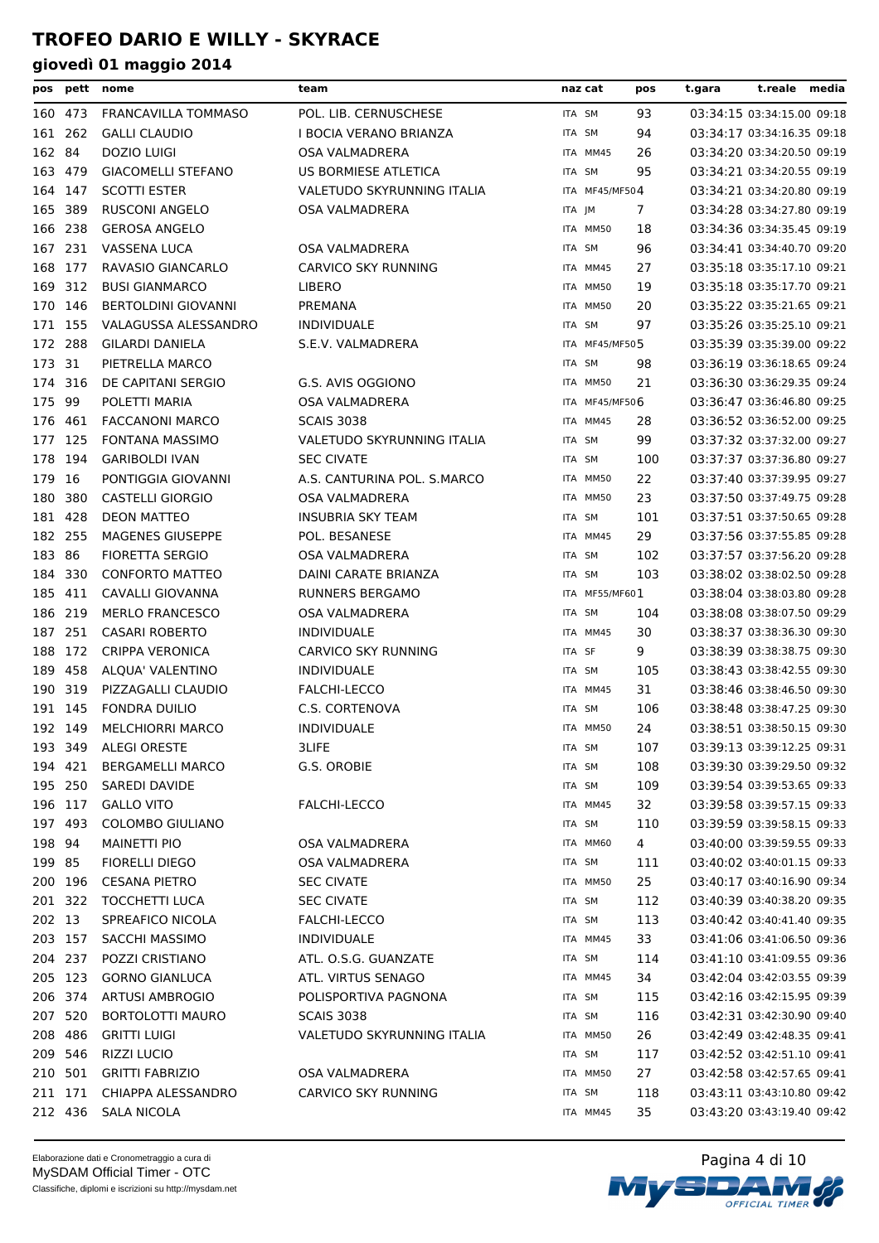| pos     |         | pett nome                  | team                        | naz cat        | pos | t.gara | t.reale media              |  |
|---------|---------|----------------------------|-----------------------------|----------------|-----|--------|----------------------------|--|
| 160 473 |         | <b>FRANCAVILLA TOMMASO</b> | POL. LIB. CERNUSCHESE       | ITA SM         | 93  |        | 03:34:15 03:34:15.00 09:18 |  |
| 161 262 |         | <b>GALLI CLAUDIO</b>       | I BOCIA VERANO BRIANZA      | ITA SM         | 94  |        | 03:34:17 03:34:16.35 09:18 |  |
| 162     | 84      | <b>DOZIO LUIGI</b>         | OSA VALMADRERA              | ITA MM45       | 26  |        | 03:34:20 03:34:20.50 09:19 |  |
| 163     | 479     | <b>GIACOMELLI STEFANO</b>  | US BORMIESE ATLETICA        | ITA SM         | 95  |        | 03:34:21 03:34:20.55 09:19 |  |
| 164     | 147     | <b>SCOTTI ESTER</b>        | VALETUDO SKYRUNNING ITALIA  | ITA MF45/MF504 |     |        | 03:34:21 03:34:20.80 09:19 |  |
| 165     | 389     | <b>RUSCONI ANGELO</b>      | OSA VALMADRERA              | ITA JM         | 7   |        | 03:34:28 03:34:27.80 09:19 |  |
| 166 238 |         | <b>GEROSA ANGELO</b>       |                             | ITA MM50       | 18  |        | 03:34:36 03:34:35.45 09:19 |  |
| 167     | 231     | <b>VASSENA LUCA</b>        | OSA VALMADRERA              | ITA SM         | 96  |        | 03:34:41 03:34:40.70 09:20 |  |
| 168     | 177     | RAVASIO GIANCARLO          | CARVICO SKY RUNNING         | ITA MM45       | 27  |        | 03:35:18 03:35:17.10 09:21 |  |
| 169     | 312     | <b>BUSI GIANMARCO</b>      | LIBERO                      | ITA MM50       | 19  |        | 03:35:18 03:35:17.70 09:21 |  |
| 170 146 |         | <b>BERTOLDINI GIOVANNI</b> | PREMANA                     | ITA MM50       | 20  |        | 03:35:22 03:35:21.65 09:21 |  |
| 171 155 |         | VALAGUSSA ALESSANDRO       | <b>INDIVIDUALE</b>          | ITA SM         | 97  |        | 03:35:26 03:35:25.10 09:21 |  |
| 172 288 |         | <b>GILARDI DANIELA</b>     | S.E.V. VALMADRERA           | ITA MF45/MF505 |     |        | 03:35:39 03:35:39.00 09:22 |  |
| 173 31  |         | PIETRELLA MARCO            |                             | ITA SM         | 98  |        | 03:36:19 03:36:18.65 09:24 |  |
| 174     | 316     | DE CAPITANI SERGIO         | G.S. AVIS OGGIONO           | ITA MM50       | 21  |        | 03:36:30 03:36:29.35 09:24 |  |
| 175     | 99      | POLETTI MARIA              | OSA VALMADRERA              | ITA MF45/MF506 |     |        | 03:36:47 03:36:46.80 09:25 |  |
| 176     | 461     | <b>FACCANONI MARCO</b>     | <b>SCAIS 3038</b>           | ITA MM45       | 28  |        | 03:36:52 03:36:52.00 09:25 |  |
| 177     | 125     | <b>FONTANA MASSIMO</b>     | VALETUDO SKYRUNNING ITALIA  | ITA SM         | 99  |        | 03:37:32 03:37:32.00 09:27 |  |
| 178     | 194     | <b>GARIBOLDI IVAN</b>      | <b>SEC CIVATE</b>           | ITA SM         | 100 |        | 03:37:37 03:37:36.80 09:27 |  |
| 179 16  |         | PONTIGGIA GIOVANNI         | A.S. CANTURINA POL. S.MARCO | ITA MM50       | 22  |        | 03:37:40 03:37:39.95 09:27 |  |
| 180     | 380     | <b>CASTELLI GIORGIO</b>    | OSA VALMADRERA              | ITA MM50       | 23  |        | 03:37:50 03:37:49.75 09:28 |  |
| 181 428 |         | <b>DEON MATTEO</b>         | INSUBRIA SKY TEAM           | ITA SM         | 101 |        | 03:37:51 03:37:50.65 09:28 |  |
| 182 255 |         | <b>MAGENES GIUSEPPE</b>    | POL. BESANESE               | ITA MM45       | 29  |        | 03:37:56 03:37:55.85 09:28 |  |
| 183     | 86      | <b>FIORETTA SERGIO</b>     | OSA VALMADRERA              | ITA SM         | 102 |        | 03:37:57 03:37:56.20 09:28 |  |
| 184 330 |         | <b>CONFORTO MATTEO</b>     | DAINI CARATE BRIANZA        | ITA SM         | 103 |        | 03:38:02 03:38:02.50 09:28 |  |
| 185 411 |         | CAVALLI GIOVANNA           | RUNNERS BERGAMO             | ITA MF55/MF601 |     |        | 03:38:04 03:38:03.80 09:28 |  |
| 186     | 219     | <b>MERLO FRANCESCO</b>     | OSA VALMADRERA              | ITA SM         | 104 |        | 03:38:08 03:38:07.50 09:29 |  |
| 187     | 251     | <b>CASARI ROBERTO</b>      | <b>INDIVIDUALE</b>          | ITA MM45       | 30  |        | 03:38:37 03:38:36.30 09:30 |  |
| 188     | 172     | <b>CRIPPA VERONICA</b>     | CARVICO SKY RUNNING         | ITA SF         | 9   |        | 03:38:39 03:38:38.75 09:30 |  |
| 189     | 458     | ALQUA' VALENTINO           | <b>INDIVIDUALE</b>          | ITA SM         | 105 |        | 03:38:43 03:38:42.55 09:30 |  |
| 190     | 319     | PIZZAGALLI CLAUDIO         | FALCHI-LECCO                | ITA MM45       | 31  |        | 03:38:46 03:38:46.50 09:30 |  |
| 191 145 |         | <b>FONDRA DUILIO</b>       | C.S. CORTENOVA              | ITA SM         | 106 |        | 03:38:48 03:38:47.25 09:30 |  |
| 192 149 |         | <b>MELCHIORRI MARCO</b>    | <b>INDIVIDUALE</b>          | ITA MM50       | 24  |        | 03:38:51 03:38:50.15 09:30 |  |
| 193 349 |         | <b>ALEGI ORESTE</b>        | 3LIFE                       | ITA SM         | 107 |        | 03:39:13 03:39:12.25 09:31 |  |
|         | 194 421 | <b>BERGAMELLI MARCO</b>    | G.S. OROBIE                 | ITA SM         | 108 |        | 03:39:30 03:39:29.50 09:32 |  |
| 195 250 |         | SAREDI DAVIDE              |                             | ITA SM         | 109 |        | 03:39:54 03:39:53.65 09:33 |  |
|         | 196 117 | <b>GALLO VITO</b>          | FALCHI-LECCO                | ITA MM45       | 32  |        | 03:39:58 03:39:57.15 09:33 |  |
| 197 493 |         | <b>COLOMBO GIULIANO</b>    |                             | ITA SM         | 110 |        | 03:39:59 03:39:58.15 09:33 |  |
| 198 94  |         | <b>MAINETTI PIO</b>        | OSA VALMADRERA              | ITA MM60       | 4   |        | 03:40:00 03:39:59.55 09:33 |  |
| 199 85  |         | <b>FIORELLI DIEGO</b>      | OSA VALMADRERA              | ITA SM         | 111 |        | 03:40:02 03:40:01.15 09:33 |  |
| 200 196 |         | <b>CESANA PIETRO</b>       | <b>SEC CIVATE</b>           | ITA MM50       | 25  |        | 03:40:17 03:40:16.90 09:34 |  |
| 201 322 |         | <b>TOCCHETTI LUCA</b>      | <b>SEC CIVATE</b>           | ITA SM         | 112 |        | 03:40:39 03:40:38.20 09:35 |  |
| 202 13  |         | SPREAFICO NICOLA           | FALCHI-LECCO                | ITA SM         | 113 |        | 03:40:42 03:40:41.40 09:35 |  |
| 203 157 |         | SACCHI MASSIMO             | <b>INDIVIDUALE</b>          | ITA MM45       | 33  |        | 03:41:06 03:41:06.50 09:36 |  |
| 204 237 |         | POZZI CRISTIANO            | ATL. O.S.G. GUANZATE        | ITA SM         | 114 |        | 03:41:10 03:41:09.55 09:36 |  |
| 205 123 |         | <b>GORNO GIANLUCA</b>      | ATL. VIRTUS SENAGO          | ITA MM45       | 34  |        | 03:42:04 03:42:03.55 09:39 |  |
|         | 206 374 | <b>ARTUSI AMBROGIO</b>     | POLISPORTIVA PAGNONA        | ITA SM         | 115 |        | 03:42:16 03:42:15.95 09:39 |  |
| 207 520 |         | <b>BORTOLOTTI MAURO</b>    | <b>SCAIS 3038</b>           | ITA SM         | 116 |        | 03:42:31 03:42:30.90 09:40 |  |
| 208 486 |         | <b>GRITTI LUIGI</b>        | VALETUDO SKYRUNNING ITALIA  | ITA MM50       | 26  |        | 03:42:49 03:42:48.35 09:41 |  |
| 209 546 |         | <b>RIZZI LUCIO</b>         |                             | ITA SM         | 117 |        | 03:42:52 03:42:51.10 09:41 |  |
| 210 501 |         | <b>GRITTI FABRIZIO</b>     | OSA VALMADRERA              | ITA MM50       | 27  |        | 03:42:58 03:42:57.65 09:41 |  |
|         | 211 171 | CHIAPPA ALESSANDRO         | CARVICO SKY RUNNING         | ITA SM         | 118 |        | 03:43:11 03:43:10.80 09:42 |  |
|         | 212 436 | SALA NICOLA                |                             | ITA MM45       | 35  |        | 03:43:20 03:43:19.40 09:42 |  |
|         |         |                            |                             |                |     |        |                            |  |

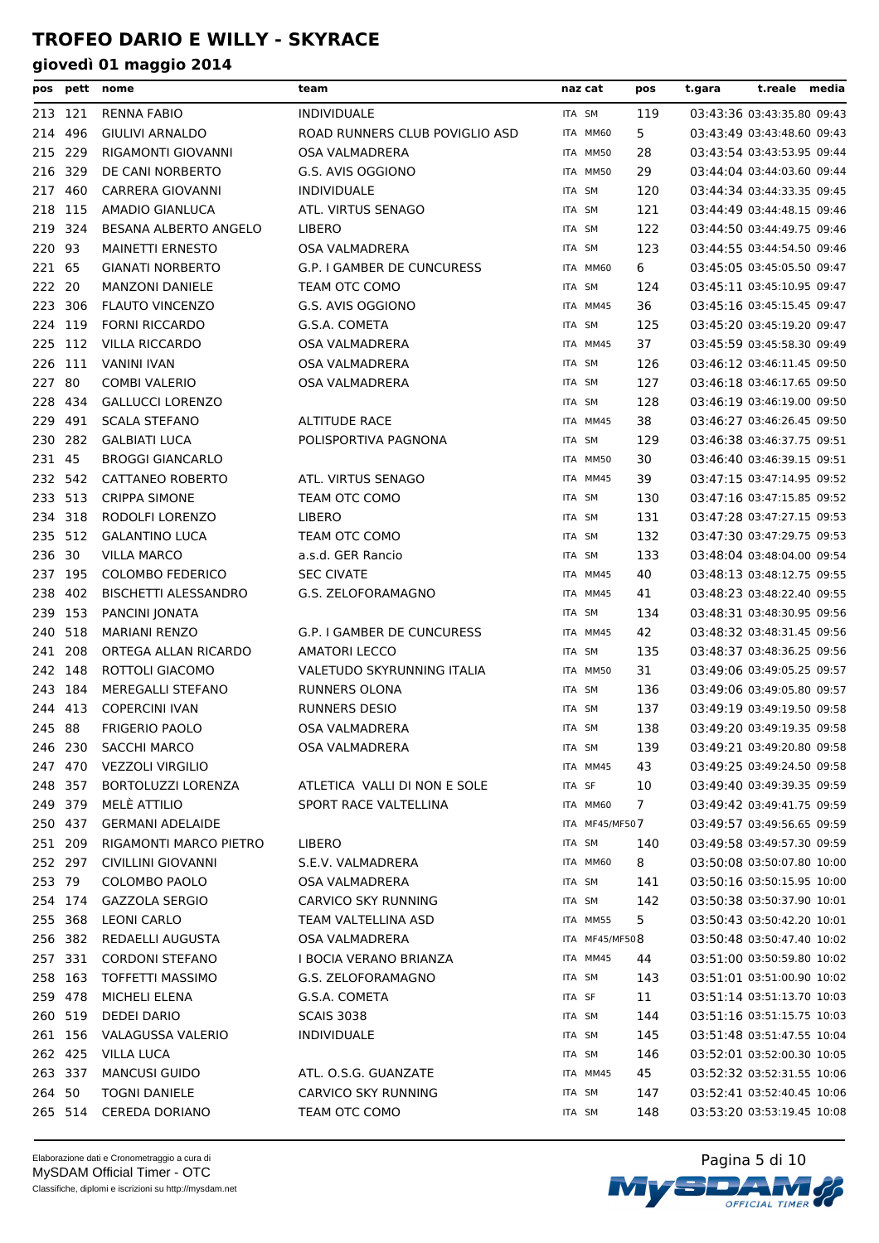| pos     | pett    | nome                        | team                           |        | naz cat        | pos | t.gara | t.reale                    | media |
|---------|---------|-----------------------------|--------------------------------|--------|----------------|-----|--------|----------------------------|-------|
|         | 213 121 | <b>RENNA FABIO</b>          | <b>INDIVIDUALE</b>             |        | ITA SM         | 119 |        | 03:43:36 03:43:35.80 09:43 |       |
| 214     | 496     | <b>GIULIVI ARNALDO</b>      | ROAD RUNNERS CLUB POVIGLIO ASD |        | ITA MM60       | 5   |        | 03:43:49 03:43:48.60 09:43 |       |
| 215     | 229     | RIGAMONTI GIOVANNI          | OSA VALMADRERA                 |        | ITA MM50       | 28  |        | 03:43:54 03:43:53.95 09:44 |       |
| 216     | 329     | DE CANI NORBERTO            | G.S. AVIS OGGIONO              |        | ITA MM50       | 29  |        | 03:44:04 03:44:03.60 09:44 |       |
| 217     | 460     | <b>CARRERA GIOVANNI</b>     | <b>INDIVIDUALE</b>             | ITA SM |                | 120 |        | 03:44:34 03:44:33.35 09:45 |       |
| 218 115 |         | AMADIO GIANLUCA             | ATL. VIRTUS SENAGO             | ITA SM |                | 121 |        | 03:44:49 03:44:48.15 09:46 |       |
|         | 219 324 | BESANA ALBERTO ANGELO       | <b>LIBERO</b>                  |        | ITA SM         | 122 |        | 03:44:50 03:44:49.75 09:46 |       |
| 220     | 93      | <b>MAINETTI ERNESTO</b>     | OSA VALMADRERA                 | ITA SM |                | 123 |        | 03:44:55 03:44:54.50 09:46 |       |
| 221     | 65      | <b>GIANATI NORBERTO</b>     | G.P. I GAMBER DE CUNCURESS     |        | ITA MM60       | 6   |        | 03:45:05 03:45:05.50 09:47 |       |
| 222 20  |         | <b>MANZONI DANIELE</b>      | TEAM OTC COMO                  |        | ITA SM         | 124 |        | 03:45:11 03:45:10.95 09:47 |       |
|         | 223 306 | <b>FLAUTO VINCENZO</b>      | G.S. AVIS OGGIONO              |        | ITA MM45       | 36  |        | 03:45:16 03:45:15.45 09:47 |       |
|         | 224 119 | <b>FORNI RICCARDO</b>       | G.S.A. COMETA                  |        | ITA SM         | 125 |        | 03:45:20 03:45:19.20 09:47 |       |
| 225 112 |         | <b>VILLA RICCARDO</b>       | OSA VALMADRERA                 |        | ITA MM45       | 37  |        | 03:45:59 03:45:58.30 09:49 |       |
| 226     | 111     | <b>VANINI IVAN</b>          | OSA VALMADRERA                 | ITA SM |                | 126 |        | 03:46:12 03:46:11.45 09:50 |       |
| 227     | 80      | <b>COMBI VALERIO</b>        | OSA VALMADRERA                 | ITA SM |                | 127 |        | 03:46:18 03:46:17.65 09:50 |       |
| 228     | 434     | <b>GALLUCCI LORENZO</b>     |                                |        | ITA SM         | 128 |        | 03:46:19 03:46:19.00 09:50 |       |
| 229     | 491     | <b>SCALA STEFANO</b>        | <b>ALTITUDE RACE</b>           |        | ITA MM45       | 38  |        | 03:46:27 03:46:26.45 09:50 |       |
|         | 230 282 | <b>GALBIATI LUCA</b>        | POLISPORTIVA PAGNONA           | ITA SM |                | 129 |        | 03:46:38 03:46:37.75 09:51 |       |
| 231 45  |         | <b>BROGGI GIANCARLO</b>     |                                |        | ITA MM50       | 30  |        | 03:46:40 03:46:39.15 09:51 |       |
|         | 232 542 | CATTANEO ROBERTO            | ATL. VIRTUS SENAGO             |        | ITA MM45       | 39  |        | 03:47:15 03:47:14.95 09:52 |       |
| 233 513 |         | <b>CRIPPA SIMONE</b>        | TEAM OTC COMO                  | ITA SM |                | 130 |        | 03:47:16 03:47:15.85 09:52 |       |
| 234 318 |         | RODOLFI LORENZO             | <b>LIBERO</b>                  |        | ITA SM         | 131 |        | 03:47:28 03:47:27.15 09:53 |       |
| 235 512 |         | <b>GALANTINO LUCA</b>       | TEAM OTC COMO                  | ITA SM |                | 132 |        | 03:47:30 03:47:29.75 09:53 |       |
| 236 30  |         | <b>VILLA MARCO</b>          | a.s.d. GER Rancio              |        | ITA SM         | 133 |        | 03:48:04 03:48:04.00 09:54 |       |
|         | 237 195 | <b>COLOMBO FEDERICO</b>     | <b>SEC CIVATE</b>              |        | ITA MM45       | 40  |        | 03:48:13 03:48:12.75 09:55 |       |
| 238     | 402     | <b>BISCHETTI ALESSANDRO</b> | G.S. ZELOFORAMAGNO             |        | ITA MM45       | 41  |        | 03:48:23 03:48:22.40 09:55 |       |
| 239     | 153     | PANCINI JONATA              |                                |        | ITA SM         | 134 |        | 03:48:31 03:48:30.95 09:56 |       |
| 240     | 518     | <b>MARIANI RENZO</b>        | G.P. I GAMBER DE CUNCURESS     |        | ITA MM45       | 42  |        | 03:48:32 03:48:31.45 09:56 |       |
| 241     | 208     | ORTEGA ALLAN RICARDO        | <b>AMATORI LECCO</b>           | ITA SM |                | 135 |        | 03:48:37 03:48:36.25 09:56 |       |
| 242 148 |         | ROTTOLI GIACOMO             | VALETUDO SKYRUNNING ITALIA     |        | ITA MM50       | 31  |        | 03:49:06 03:49:05.25 09:57 |       |
|         | 243 184 | MEREGALLI STEFANO           | RUNNERS OLONA                  | ITA SM |                | 136 |        | 03:49:06 03:49:05.80 09:57 |       |
|         | 244 413 | <b>COPERCINI IVAN</b>       | <b>RUNNERS DESIO</b>           |        | ITA SM         | 137 |        | 03:49:19 03:49:19.50 09:58 |       |
| 245 88  |         | <b>FRIGERIO PAOLO</b>       | OSA VALMADRERA                 |        | ITA SM         | 138 |        | 03:49:20 03:49:19.35 09:58 |       |
|         | 246 230 | SACCHI MARCO                | OSA VALMADRERA                 |        | ITA SM         | 139 |        | 03:49:21 03:49:20.80 09:58 |       |
|         | 247 470 | <b>VEZZOLI VIRGILIO</b>     |                                |        | ITA MM45       | 43  |        | 03:49:25 03:49:24.50 09:58 |       |
|         | 248 357 | BORTOLUZZI LORENZA          | ATLETICA VALLI DI NON E SOLE   | ITA SF |                | 10  |        | 03:49:40 03:49:39.35 09:59 |       |
|         | 249 379 | MELÈ ATTILIO                | SPORT RACE VALTELLINA          |        | ITA MM60       | 7   |        | 03:49:42 03:49:41.75 09:59 |       |
|         | 250 437 | <b>GERMANI ADELAIDE</b>     |                                |        | ITA MF45/MF507 |     |        | 03:49:57 03:49:56.65 09:59 |       |
|         | 251 209 | RIGAMONTI MARCO PIETRO      | LIBERO                         |        | ITA SM         | 140 |        | 03:49:58 03:49:57.30 09:59 |       |
|         | 252 297 | CIVILLINI GIOVANNI          | S.E.V. VALMADRERA              |        | ITA MM60       | 8   |        | 03:50:08 03:50:07.80 10:00 |       |
| 253 79  |         | COLOMBO PAOLO               | OSA VALMADRERA                 |        | ITA SM         | 141 |        | 03:50:16 03:50:15.95 10:00 |       |
|         | 254 174 | <b>GAZZOLA SERGIO</b>       | CARVICO SKY RUNNING            |        | ITA SM         | 142 |        | 03:50:38 03:50:37.90 10:01 |       |
| 255 368 |         | <b>LEONI CARLO</b>          | TEAM VALTELLINA ASD            |        | ITA MM55       | 5   |        | 03:50:43 03:50:42.20 10:01 |       |
|         | 256 382 | REDAELLI AUGUSTA            | OSA VALMADRERA                 |        | ITA MF45/MF508 |     |        | 03:50:48 03:50:47.40 10:02 |       |
|         | 257 331 | <b>CORDONI STEFANO</b>      | I BOCIA VERANO BRIANZA         |        | ITA MM45       | 44  |        | 03:51:00 03:50:59.80 10:02 |       |
| 258 163 |         | <b>TOFFETTI MASSIMO</b>     | G.S. ZELOFORAMAGNO             |        | ITA SM         | 143 |        | 03:51:01 03:51:00.90 10:02 |       |
|         | 259 478 | MICHELI ELENA               | G.S.A. COMETA                  | ITA SF |                | 11  |        | 03:51:14 03:51:13.70 10:03 |       |
|         | 260 519 | <b>DEDEI DARIO</b>          | <b>SCAIS 3038</b>              |        | ITA SM         | 144 |        | 03:51:16 03:51:15.75 10:03 |       |
|         | 261 156 | VALAGUSSA VALERIO           | <b>INDIVIDUALE</b>             |        | ITA SM         | 145 |        | 03:51:48 03:51:47.55 10:04 |       |
|         | 262 425 | <b>VILLA LUCA</b>           |                                |        | ITA SM         | 146 |        | 03:52:01 03:52:00.30 10:05 |       |
|         | 263 337 | <b>MANCUSI GUIDO</b>        | ATL. O.S.G. GUANZATE           |        | ITA MM45       | 45  |        | 03:52:32 03:52:31.55 10:06 |       |
| 264 50  |         | <b>TOGNI DANIELE</b>        | CARVICO SKY RUNNING            |        | ITA SM         | 147 |        | 03:52:41 03:52:40.45 10:06 |       |
|         | 265 514 | <b>CEREDA DORIANO</b>       | TEAM OTC COMO                  |        | ITA SM         | 148 |        | 03:53:20 03:53:19.45 10:08 |       |
|         |         |                             |                                |        |                |     |        |                            |       |

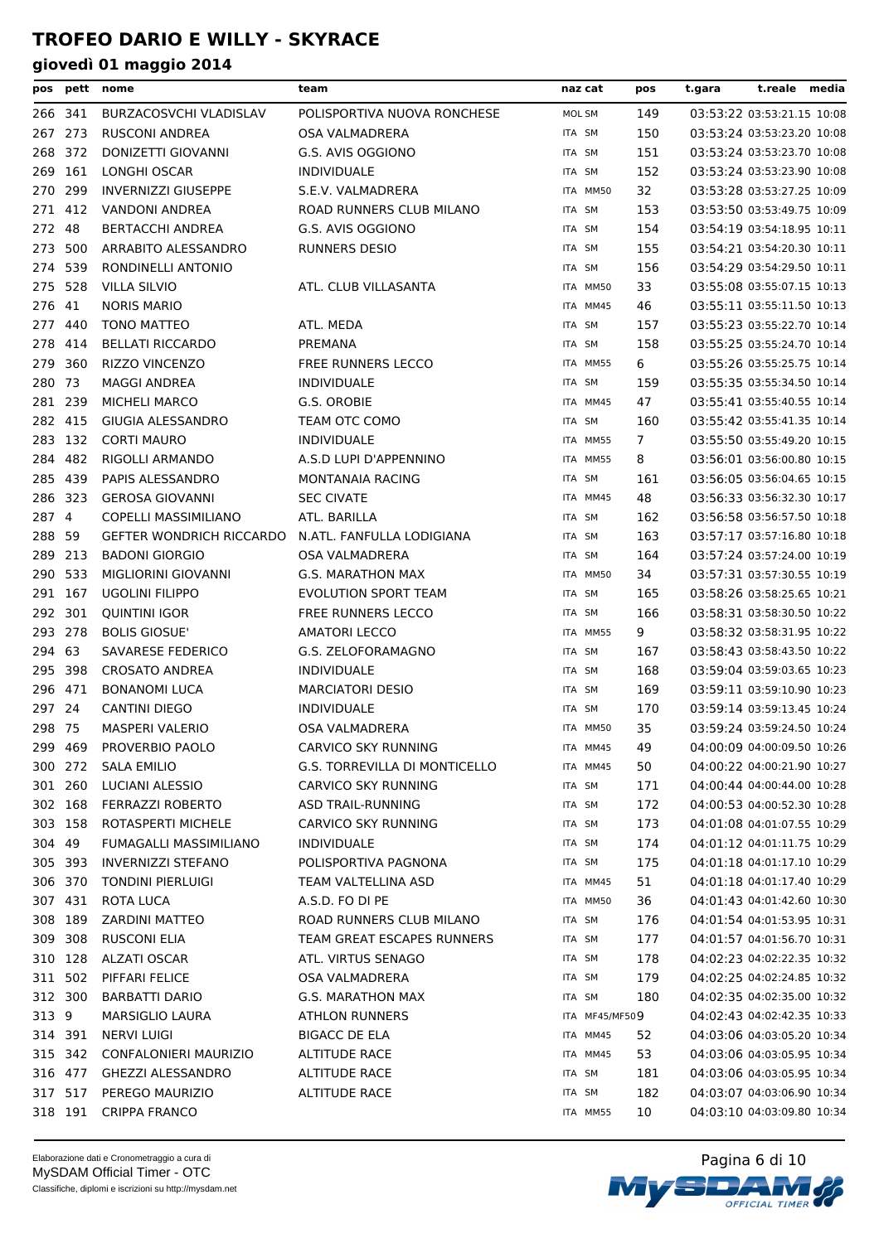| pos                | pett    | nome                                          | team                                          | naz cat          |                | pos | t.gara | t.reale media                                            |  |
|--------------------|---------|-----------------------------------------------|-----------------------------------------------|------------------|----------------|-----|--------|----------------------------------------------------------|--|
| 266 341            |         | BURZACOSVCHI VLADISLAV                        | POLISPORTIVA NUOVA RONCHESE                   | MOL SM           |                | 149 |        | 03:53:22 03:53:21.15 10:08                               |  |
| 267                | 273     | <b>RUSCONI ANDREA</b>                         | OSA VALMADRERA                                | ITA SM           |                | 150 |        | 03:53:24 03:53:23.20 10:08                               |  |
| 268                | 372     | DONIZETTI GIOVANNI                            | G.S. AVIS OGGIONO                             | ITA SM           |                | 151 |        | 03:53:24 03:53:23.70 10:08                               |  |
| 269                | 161     | LONGHI OSCAR                                  | <b>INDIVIDUALE</b>                            | ITA SM           |                | 152 |        | 03:53:24 03:53:23.90 10:08                               |  |
| 270                | 299     | <b>INVERNIZZI GIUSEPPE</b>                    | S.E.V. VALMADRERA                             |                  | ITA MM50       | 32  |        | 03:53:28 03:53:27.25 10:09                               |  |
| 271                | 412     | VANDONI ANDREA                                | ROAD RUNNERS CLUB MILANO                      | ITA SM           |                | 153 |        | 03:53:50 03:53:49.75 10:09                               |  |
| 272                | 48      | BERTACCHI ANDREA                              | G.S. AVIS OGGIONO                             | ITA SM           |                | 154 |        | 03:54:19 03:54:18.95 10:11                               |  |
| 273                | 500     | ARRABITO ALESSANDRO                           | <b>RUNNERS DESIO</b>                          | ITA SM           |                | 155 |        | 03:54:21 03:54:20.30 10:11                               |  |
| 274                | 539     | RONDINELLI ANTONIO                            |                                               | ITA SM           |                | 156 |        | 03:54:29 03:54:29.50 10:11                               |  |
| 275                | 528     | <b>VILLA SILVIO</b>                           | ATL. CLUB VILLASANTA                          |                  | ITA MM50       | 33  |        | 03:55:08 03:55:07.15 10:13                               |  |
| 276                | 41      | <b>NORIS MARIO</b>                            |                                               |                  | ITA MM45       | 46  |        | 03:55:11 03:55:11.50 10:13                               |  |
| 277                | 440     | <b>TONO MATTEO</b>                            | ATL. MEDA                                     | ITA SM           |                | 157 |        | 03:55:23 03:55:22.70 10:14                               |  |
| 278                | 414     | <b>BELLATI RICCARDO</b>                       | PREMANA                                       | ITA SM           |                | 158 |        | 03:55:25 03:55:24.70 10:14                               |  |
| 279                | 360     | RIZZO VINCENZO                                | FREE RUNNERS LECCO                            |                  | ITA MM55       | 6   |        | 03:55:26 03:55:25.75 10:14                               |  |
| 280                | 73      | <b>MAGGI ANDREA</b>                           | <b>INDIVIDUALE</b>                            | ITA SM           |                | 159 |        | 03:55:35 03:55:34.50 10:14                               |  |
| 281                | 239     | MICHELI MARCO                                 | G.S. OROBIE                                   |                  | ITA MM45       | 47  |        | 03:55:41 03:55:40.55 10:14                               |  |
| 282                | 415     | <b>GIUGIA ALESSANDRO</b>                      | TEAM OTC COMO                                 | ITA SM           |                | 160 |        | 03:55:42 03:55:41.35 10:14                               |  |
| 283 132            |         | <b>CORTI MAURO</b>                            | <b>INDIVIDUALE</b>                            |                  | ITA MM55       | 7   |        | 03:55:50 03:55:49.20 10:15                               |  |
| 284                | 482     | RIGOLLI ARMANDO                               | A.S.D LUPI D'APPENNINO                        |                  | ITA MM55       | 8   |        | 03:56:01 03:56:00.80 10:15                               |  |
| 285                | 439     | PAPIS ALESSANDRO                              | MONTANAIA RACING                              | ITA SM           |                | 161 |        | 03:56:05 03:56:04.65 10:15                               |  |
|                    | 286 323 | <b>GEROSA GIOVANNI</b>                        | <b>SEC CIVATE</b>                             |                  | ITA MM45       | 48  |        | 03:56:33 03:56:32.30 10:17                               |  |
| 287 4              |         | COPELLI MASSIMILIANO                          | ATL. BARILLA                                  | ITA SM           |                | 162 |        | 03:56:58 03:56:57.50 10:18                               |  |
| 288 59             |         | <b>GEFTER WONDRICH RICCARDO</b>               | N.ATL. FANFULLA LODIGIANA                     | ITA SM           |                | 163 |        | 03:57:17 03:57:16.80 10:18                               |  |
| 289 213            |         | <b>BADONI GIORGIO</b>                         | OSA VALMADRERA                                | ITA SM           |                | 164 |        | 03:57:24 03:57:24.00 10:19                               |  |
| 290 533            |         | MIGLIORINI GIOVANNI                           | <b>G.S. MARATHON MAX</b>                      |                  | ITA MM50       | 34  |        | 03:57:31 03:57:30.55 10:19                               |  |
| 291 167            |         | <b>UGOLINI FILIPPO</b>                        | <b>EVOLUTION SPORT TEAM</b>                   | ITA SM           |                | 165 |        | 03:58:26 03:58:25.65 10:21                               |  |
| 292                | 301     | <b>QUINTINI IGOR</b>                          | <b>FREE RUNNERS LECCO</b>                     | ITA SM           |                | 166 |        | 03:58:31 03:58:30.50 10:22                               |  |
| 293                | 278     | <b>BOLIS GIOSUE'</b>                          | <b>AMATORI LECCO</b>                          |                  | ITA MM55       | 9   |        | 03:58:32 03:58:31.95 10:22                               |  |
|                    | 63      |                                               |                                               | ITA SM           |                |     |        |                                                          |  |
| 294                |         | SAVARESE FEDERICO                             | G.S. ZELOFORAMAGNO                            |                  |                | 167 |        | 03:58:43 03:58:43.50 10:22                               |  |
| 295 398<br>296 471 |         | <b>CROSATO ANDREA</b><br><b>BONANOMI LUCA</b> | <b>INDIVIDUALE</b><br><b>MARCIATORI DESIO</b> | ITA SM           |                | 168 |        | 03:59:04 03:59:03.65 10:23<br>03:59:11 03:59:10.90 10:23 |  |
| 297 24             |         | <b>CANTINI DIEGO</b>                          |                                               | ITA SM<br>ITA SM |                | 169 |        |                                                          |  |
|                    |         |                                               | <b>INDIVIDUALE</b>                            |                  |                | 170 |        | 03:59:14 03:59:13.45 10:24<br>03:59:24 03:59:24.50 10:24 |  |
| 298 75             |         | <b>MASPERI VALERIO</b>                        | OSA VALMADRERA                                |                  | ITA MM50       | 35  |        | 04:00:09 04:00:09.50 10:26                               |  |
|                    | 299 469 | PROVERBIO PAOLO                               | CARVICO SKY RUNNING                           |                  | ITA MM45       | 49  |        |                                                          |  |
|                    | 300 272 | SALA EMILIO                                   | <b>G.S. TORREVILLA DI MONTICELLO</b>          |                  | ITA MM45       | 50  |        | 04:00:22 04:00:21.90 10:27                               |  |
|                    | 301 260 | <b>LUCIANI ALESSIO</b>                        | <b>CARVICO SKY RUNNING</b>                    | ITA SM           |                | 171 |        | 04:00:44 04:00:44.00 10:28                               |  |
|                    | 302 168 | <b>FERRAZZI ROBERTO</b>                       | ASD TRAIL-RUNNING                             | ITA SM           |                | 172 |        | 04:00:53 04:00:52.30 10:28                               |  |
|                    | 303 158 | ROTASPERTI MICHELE                            | CARVICO SKY RUNNING                           | ITA SM           |                | 173 |        | 04:01:08 04:01:07.55 10:29                               |  |
| 304 49             |         | FUMAGALLI MASSIMILIANO                        | <b>INDIVIDUALE</b>                            | ITA SM           |                | 174 |        | 04:01:12 04:01:11.75 10:29                               |  |
|                    | 305 393 | <b>INVERNIZZI STEFANO</b>                     | POLISPORTIVA PAGNONA                          | ITA SM           |                | 175 |        | 04:01:18 04:01:17.10 10:29                               |  |
|                    | 306 370 | <b>TONDINI PIERLUIGI</b>                      | TEAM VALTELLINA ASD                           |                  | ITA MM45       | 51  |        | 04:01:18 04:01:17.40 10:29                               |  |
|                    | 307 431 | <b>ROTA LUCA</b>                              | A.S.D. FO DI PE                               |                  | ITA MM50       | 36  |        | 04:01:43 04:01:42.60 10:30                               |  |
|                    | 308 189 | <b>ZARDINI MATTEO</b>                         | ROAD RUNNERS CLUB MILANO                      | ITA SM           |                | 176 |        | 04:01:54 04:01:53.95 10:31                               |  |
|                    | 309 308 | <b>RUSCONI ELIA</b>                           | TEAM GREAT ESCAPES RUNNERS                    | ITA SM           |                | 177 |        | 04:01:57 04:01:56.70 10:31                               |  |
|                    | 310 128 | ALZATI OSCAR                                  | ATL. VIRTUS SENAGO                            | ITA SM           |                | 178 |        | 04:02:23 04:02:22.35 10:32                               |  |
| 311                | 502     | PIFFARI FELICE                                | OSA VALMADRERA                                | ITA SM           |                | 179 |        | 04:02:25 04:02:24.85 10:32                               |  |
|                    | 312 300 | <b>BARBATTI DARIO</b>                         | <b>G.S. MARATHON MAX</b>                      | ITA SM           |                | 180 |        | 04:02:35 04:02:35.00 10:32                               |  |
| 313 9              |         | <b>MARSIGLIO LAURA</b>                        | <b>ATHLON RUNNERS</b>                         |                  | ITA MF45/MF509 |     |        | 04:02:43 04:02:42.35 10:33                               |  |
|                    | 314 391 | NERVI LUIGI                                   | <b>BIGACC DE ELA</b>                          |                  | ITA MM45       | 52  |        | 04:03:06 04:03:05.20 10:34                               |  |
|                    | 315 342 | CONFALONIERI MAURIZIO                         | <b>ALTITUDE RACE</b>                          |                  | ITA MM45       | 53  |        | 04:03:06 04:03:05.95 10:34                               |  |
|                    | 316 477 | <b>GHEZZI ALESSANDRO</b>                      | <b>ALTITUDE RACE</b>                          | ITA SM           |                | 181 |        | 04:03:06 04:03:05.95 10:34                               |  |
|                    | 317 517 | PEREGO MAURIZIO                               | <b>ALTITUDE RACE</b>                          | ITA SM           |                | 182 |        | 04:03:07 04:03:06.90 10:34                               |  |
|                    | 318 191 | <b>CRIPPA FRANCO</b>                          |                                               |                  | ITA MM55       | 10  |        | 04:03:10 04:03:09.80 10:34                               |  |

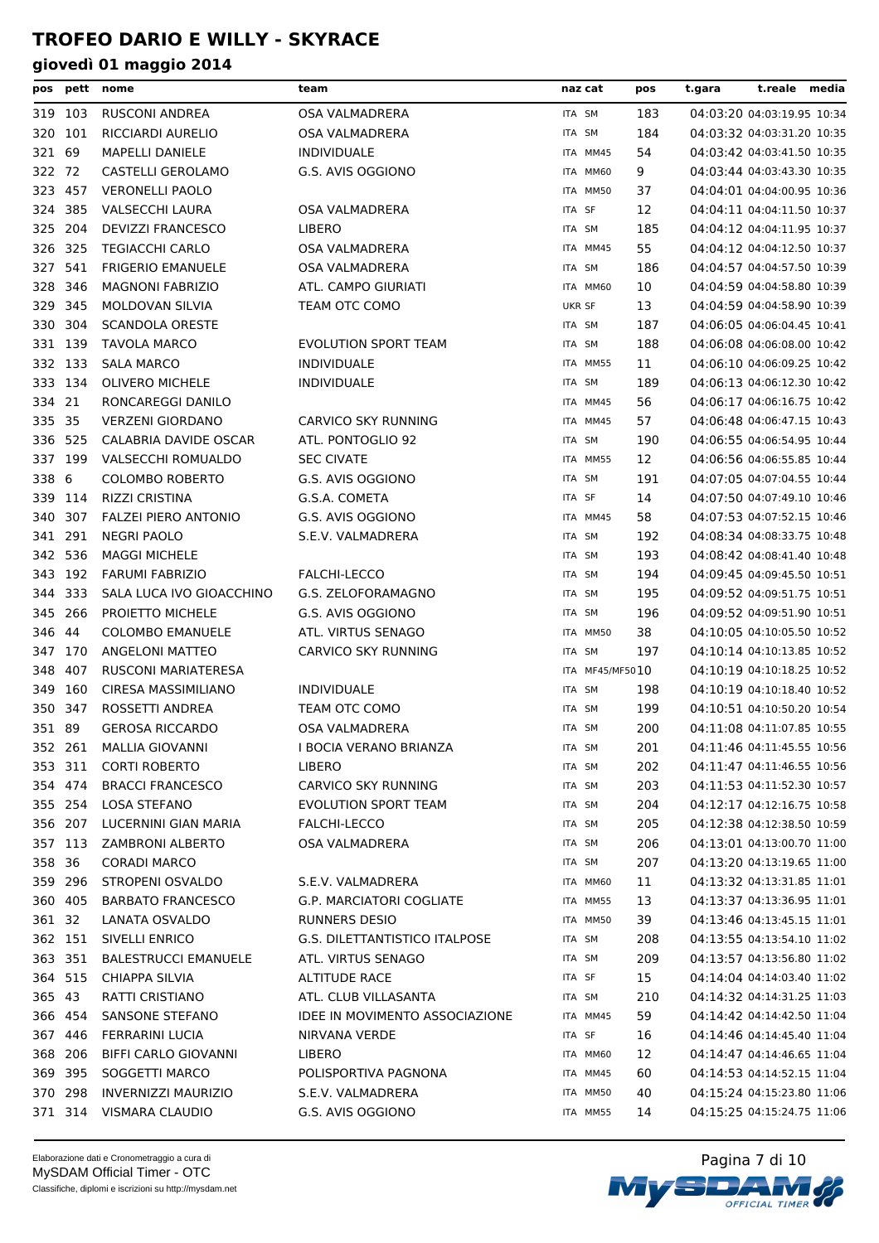| pos     |                    | pett nome                               | team                                        | naz cat         | pos        | t.gara                                                   | t.reale media |
|---------|--------------------|-----------------------------------------|---------------------------------------------|-----------------|------------|----------------------------------------------------------|---------------|
|         | 319 103            | RUSCONI ANDREA                          | <b>OSA VALMADRERA</b>                       | ITA SM          | 183        | 04:03:20 04:03:19.95 10:34                               |               |
|         | 320 101            | <b>RICCIARDI AURELIO</b>                | <b>OSA VALMADRERA</b>                       | ITA SM          | 184        | 04:03:32 04:03:31.20 10:35                               |               |
| 321     | 69                 | <b>MAPELLI DANIELE</b>                  | <b>INDIVIDUALE</b>                          | ITA MM45        | 54         | 04:03:42 04:03:41.50 10:35                               |               |
| 322 72  |                    | CASTELLI GEROLAMO                       | G.S. AVIS OGGIONO                           | ITA MM60        | 9          | 04:03:44 04:03:43.30 10:35                               |               |
| 323 457 |                    | <b>VERONELLI PAOLO</b>                  |                                             | ITA MM50        | 37         | 04:04:01 04:04:00.95 10:36                               |               |
| 324     | 385                | VALSECCHI LAURA                         | OSA VALMADRERA                              | ITA SF          | 12         | 04:04:11 04:04:11.50 10:37                               |               |
| 325     | - 204              | <b>DEVIZZI FRANCESCO</b>                | LIBERO                                      | ITA SM          | 185        | 04:04:12 04:04:11.95 10:37                               |               |
|         | 326 325            | <b>TEGIACCHI CARLO</b>                  | OSA VALMADRERA                              | ITA MM45        | 55         | 04:04:12 04:04:12.50 10:37                               |               |
| 327     | 541                | <b>FRIGERIO EMANUELE</b>                | <b>OSA VALMADRERA</b>                       | ITA SM          | 186        | 04:04:57 04:04:57.50 10:39                               |               |
| 328     | 346                | <b>MAGNONI FABRIZIO</b>                 | ATL. CAMPO GIURIATI                         | ITA MM60        | 10         | 04:04:59 04:04:58.80 10:39                               |               |
|         | 329 345            | <b>MOLDOVAN SILVIA</b>                  | TEAM OTC COMO                               | UKR SF          | 13         | 04:04:59 04:04:58.90 10:39                               |               |
|         | 330 304            | <b>SCANDOLA ORESTE</b>                  |                                             | ITA SM          | 187        | 04:06:05 04:06:04.45 10:41                               |               |
|         | 331 139            | <b>TAVOLA MARCO</b>                     | <b>EVOLUTION SPORT TEAM</b>                 | ITA SM          | 188        | 04:06:08 04:06:08.00 10:42                               |               |
|         | 332 133            | <b>SALA MARCO</b>                       | <b>INDIVIDUALE</b>                          | ITA MM55        | 11         | 04:06:10 04:06:09.25 10:42                               |               |
| 333     | 134                | <b>OLIVERO MICHELE</b>                  | INDIVIDUALE                                 | ITA SM          | 189        | 04:06:13 04:06:12.30 10:42                               |               |
| 334 21  |                    | RONCAREGGI DANILO                       |                                             | ITA MM45        | 56         | 04:06:17 04:06:16.75 10:42                               |               |
| 335 35  |                    | <b>VERZENI GIORDANO</b>                 | CARVICO SKY RUNNING                         | ITA MM45        | 57         | 04:06:48 04:06:47.15 10:43                               |               |
|         | 336 525            | <b>CALABRIA DAVIDE OSCAR</b>            | ATL. PONTOGLIO 92                           | ITA SM          | 190        | 04:06:55 04:06:54.95 10:44                               |               |
|         | 337 199            | VALSECCHI ROMUALDO                      | <b>SEC CIVATE</b>                           | ITA MM55        | 12         | 04:06:56 04:06:55.85 10:44                               |               |
| 338 6   |                    | <b>COLOMBO ROBERTO</b>                  | G.S. AVIS OGGIONO                           | ITA SM          | 191        | 04:07:05 04:07:04.55 10:44                               |               |
| 339     | 114                | <b>RIZZI CRISTINA</b>                   | G.S.A. COMETA                               | ITA SF          | 14         | 04:07:50 04:07:49.10 10:46                               |               |
| 340     | 307                | <b>FALZEI PIERO ANTONIO</b>             | G.S. AVIS OGGIONO                           | ITA MM45        | 58         | 04:07:53 04:07:52.15 10:46                               |               |
|         | 341 291            | <b>NEGRI PAOLO</b>                      | S.E.V. VALMADRERA                           | ITA SM          | 192        | 04:08:34 04:08:33.75 10:48                               |               |
|         | 342 536            | <b>MAGGI MICHELE</b>                    |                                             | ITA SM          | 193        | 04:08:42 04:08:41.40 10:48                               |               |
|         | 343 192            | <b>FARUMI FABRIZIO</b>                  | <b>FALCHI-LECCO</b>                         | ITA SM          | 194        | 04:09:45 04:09:45.50 10:51                               |               |
|         | 344 333            | SALA LUCA IVO GIOACCHINO                | G.S. ZELOFORAMAGNO                          | ITA SM          | 195        | 04:09:52 04:09:51.75 10:51                               |               |
| 345     | 266                | PROJETTO MICHELE                        | G.S. AVIS OGGIONO                           | ITA SM          | 196        | 04:09:52 04:09:51.90 10:51                               |               |
| 346 44  |                    | <b>COLOMBO EMANUELE</b>                 | ATL. VIRTUS SENAGO                          | ITA MM50        | 38         | 04:10:05 04:10:05.50 10:52                               |               |
| 347     | 170                | <b>ANGELONI MATTEO</b>                  | CARVICO SKY RUNNING                         | ITA SM          | 197        | 04:10:14 04:10:13.85 10:52                               |               |
| 348     | 407                | RUSCONI MARIATERESA                     |                                             | ITA MF45/MF5010 |            | 04:10:19 04:10:18.25 10:52                               |               |
| 349     | 160                | <b>CIRESA MASSIMILIANO</b>              | <b>INDIVIDUALE</b>                          | ITA SM          | 198        | 04:10:19 04:10:18.40 10:52                               |               |
| 350 347 |                    | ROSSETTI ANDREA                         | TEAM OTC COMO                               | ITA SM          | 199        | 04:10:51 04:10:50.20 10:54                               |               |
| 351 89  |                    | <b>GEROSA RICCARDO</b>                  | OSA VALMADRERA                              | ITA SM          | 200        | 04:11:08 04:11:07.85 10:55                               |               |
|         | 352 261            | <b>MALLIA GIOVANNI</b>                  | I BOCIA VERANO BRIANZA                      | ITA SM          | 201        | 04:11:46 04:11:45.55 10:56                               |               |
|         |                    | <b>CORTI ROBERTO</b>                    |                                             |                 |            | 04:11:47 04:11:46.55 10:56                               |               |
|         | 353 311<br>354 474 | <b>BRACCI FRANCESCO</b>                 | LIBERO                                      | ITA SM          | 202        | 04:11:53 04:11:52.30 10:57                               |               |
|         | 355 254            | <b>LOSA STEFANO</b>                     | CARVICO SKY RUNNING<br>EVOLUTION SPORT TEAM | ITA SM          | 203<br>204 | 04:12:17 04:12:16.75 10:58                               |               |
|         | 356 207            | LUCERNINI GIAN MARIA                    | FALCHI-LECCO                                | ITA SM          | 205        | 04:12:38 04:12:38.50 10:59                               |               |
|         |                    |                                         |                                             | ITA SM          |            |                                                          |               |
|         | 357 113            | ZAMBRONI ALBERTO<br><b>CORADI MARCO</b> | OSA VALMADRERA                              | ITA SM          | 206        | 04:13:01 04:13:00.70 11:00<br>04:13:20 04:13:19.65 11:00 |               |
| 358 36  |                    |                                         |                                             | ITA SM          | 207        |                                                          |               |
|         | 359 296            | STROPENI OSVALDO                        | S.E.V. VALMADRERA                           | ITA MM60        | 11         | 04:13:32 04:13:31.85 11:01                               |               |
|         | 360 405            | <b>BARBATO FRANCESCO</b>                | <b>G.P. MARCIATORI COGLIATE</b>             | ITA MM55        | 13         | 04:13:37 04:13:36.95 11:01                               |               |
| 361 32  |                    | LANATA OSVALDO                          | <b>RUNNERS DESIO</b>                        | ITA MM50        | 39         | 04:13:46 04:13:45.15 11:01                               |               |
|         | 362 151            | SIVELLI ENRICO                          | G.S. DILETTANTISTICO ITALPOSE               | ITA SM          | 208        | 04:13:55 04:13:54.10 11:02                               |               |
|         | 363 351            | <b>BALESTRUCCI EMANUELE</b>             | ATL. VIRTUS SENAGO                          | ITA SM          | 209        | 04:13:57 04:13:56.80 11:02                               |               |
|         | 364 515            | CHIAPPA SILVIA                          | <b>ALTITUDE RACE</b>                        | ITA SF          | 15         | 04:14:04 04:14:03.40 11:02                               |               |
| 365 43  |                    | RATTI CRISTIANO                         | ATL. CLUB VILLASANTA                        | ITA SM          | 210        | 04:14:32 04:14:31.25 11:03                               |               |
|         | 366 454            | SANSONE STEFANO                         | IDEE IN MOVIMENTO ASSOCIAZIONE              | ITA MM45        | 59         | 04:14:42 04:14:42.50 11:04                               |               |
|         | 367 446            | <b>FERRARINI LUCIA</b>                  | NIRVANA VERDE                               | ITA SF          | 16         | 04:14:46 04:14:45.40 11:04                               |               |
|         | 368 206            | BIFFI CARLO GIOVANNI                    | <b>LIBERO</b>                               | ITA MM60        | 12         | 04:14:47 04:14:46.65 11:04                               |               |
|         | 369 395            | SOGGETTI MARCO                          | POLISPORTIVA PAGNONA                        | ITA MM45        | 60         | 04:14:53 04:14:52.15 11:04                               |               |
|         | 370 298            | <b>INVERNIZZI MAURIZIO</b>              | S.E.V. VALMADRERA                           | ITA MM50        | 40         | 04:15:24 04:15:23.80 11:06                               |               |
|         | 371 314            | VISMARA CLAUDIO                         | G.S. AVIS OGGIONO                           | ITA MM55        | 14         | 04:15:25 04:15:24.75 11:06                               |               |

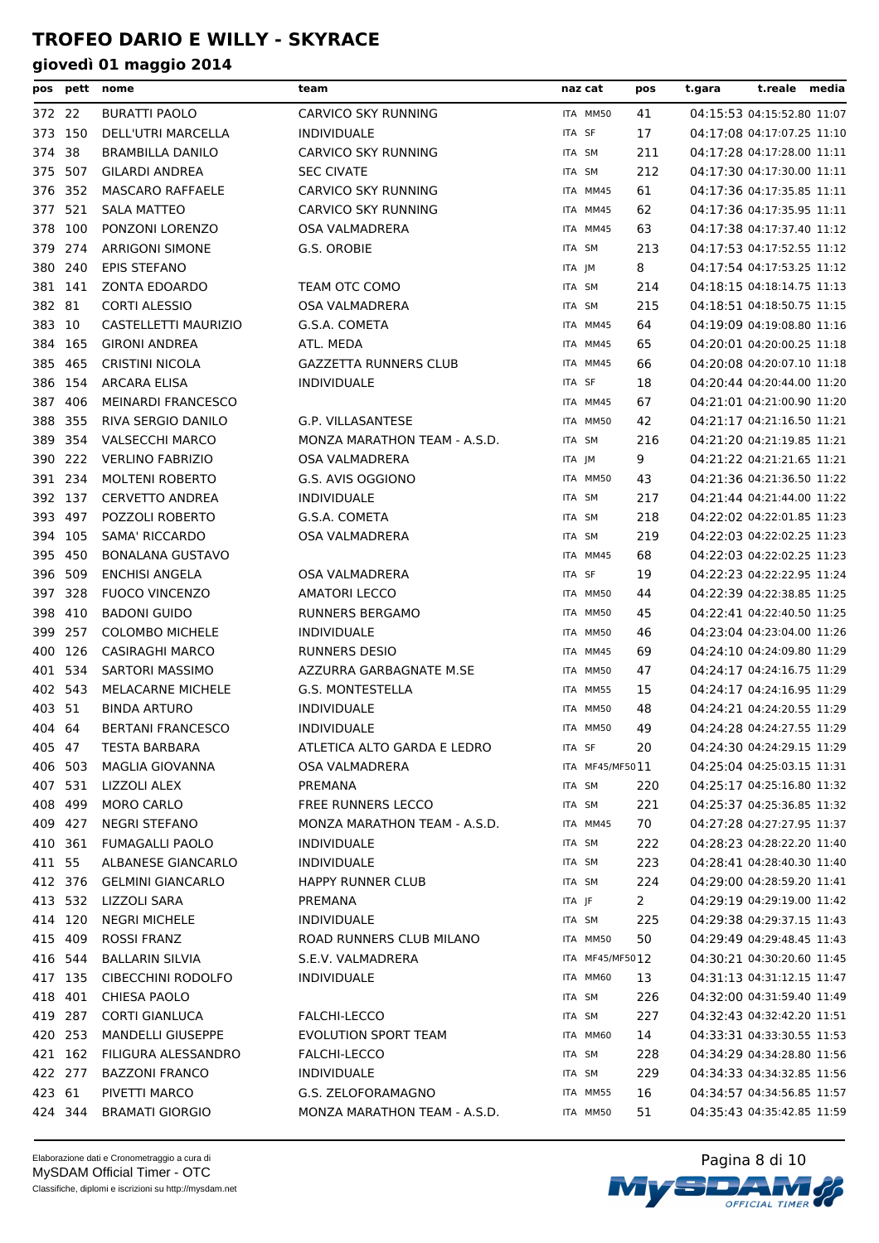| pos    | pett    | nome                      | team                         | naz cat         | pos          | t.gara | t.reale media              |  |
|--------|---------|---------------------------|------------------------------|-----------------|--------------|--------|----------------------------|--|
| 372 22 |         | <b>BURATTI PAOLO</b>      | CARVICO SKY RUNNING          | ITA MM50        | 41           |        | 04:15:53 04:15:52.80 11:07 |  |
|        | 373 150 | DELL'UTRI MARCELLA        | <b>INDIVIDUALE</b>           | ITA SF          | 17           |        | 04:17:08 04:17:07.25 11:10 |  |
| 374    | - 38    | <b>BRAMBILLA DANILO</b>   | CARVICO SKY RUNNING          | ITA SM          | 211          |        | 04:17:28 04:17:28.00 11:11 |  |
| 375    | 507     | <b>GILARDI ANDREA</b>     | <b>SEC CIVATE</b>            | ITA SM          | 212          |        | 04:17:30 04:17:30.00 11:11 |  |
| 376    | 352     | <b>MASCARO RAFFAELE</b>   | CARVICO SKY RUNNING          | ITA MM45        | 61           |        | 04:17:36 04:17:35.85 11:11 |  |
| 377    | 521     | <b>SALA MATTEO</b>        | CARVICO SKY RUNNING          | ITA MM45        | 62           |        | 04:17:36 04:17:35.95 11:11 |  |
| 378    | 100     | PONZONI LORENZO           | OSA VALMADRERA               | ITA MM45        | 63           |        | 04:17:38 04:17:37.40 11:12 |  |
| 379    | 274     | <b>ARRIGONI SIMONE</b>    | G.S. OROBIE                  | ITA SM          | 213          |        | 04:17:53 04:17:52.55 11:12 |  |
| 380    | 240     | <b>EPIS STEFANO</b>       |                              | ITA JM          | 8            |        | 04:17:54 04:17:53.25 11:12 |  |
|        | 381 141 | <b>ZONTA EDOARDO</b>      | TEAM OTC COMO                | ITA SM          | 214          |        | 04:18:15 04:18:14.75 11:13 |  |
| 382 81 |         | <b>CORTI ALESSIO</b>      | OSA VALMADRERA               | ITA SM          | 215          |        | 04:18:51 04:18:50.75 11:15 |  |
| 383    | 10      | CASTELLETTI MAURIZIO      | G.S.A. COMETA                | ITA MM45        | 64           |        | 04:19:09 04:19:08.80 11:16 |  |
|        | 384 165 | <b>GIRONI ANDREA</b>      | ATL. MEDA                    | ITA MM45        | 65           |        | 04:20:01 04:20:00.25 11:18 |  |
| 385    | 465     | <b>CRISTINI NICOLA</b>    | <b>GAZZETTA RUNNERS CLUB</b> | ITA MM45        | 66           |        | 04:20:08 04:20:07.10 11:18 |  |
| 386    | 154     | ARCARA ELISA              | <b>INDIVIDUALE</b>           | ITA SF          | 18           |        | 04:20:44 04:20:44.00 11:20 |  |
| 387    | 406     | <b>MEINARDI FRANCESCO</b> |                              | ITA MM45        | 67           |        | 04:21:01 04:21:00.90 11:20 |  |
| 388    | 355     | RIVA SERGIO DANILO        | G.P. VILLASANTESE            | ITA MM50        | 42           |        | 04:21:17 04:21:16.50 11:21 |  |
| 389    | 354     | <b>VALSECCHI MARCO</b>    | MONZA MARATHON TEAM - A.S.D. | ITA SM          | 216          |        | 04:21:20 04:21:19.85 11:21 |  |
| 390    | 222     | <b>VERLINO FABRIZIO</b>   | OSA VALMADRERA               | ITA JM          | 9            |        | 04:21:22 04:21:21.65 11:21 |  |
|        | 391 234 | <b>MOLTENI ROBERTO</b>    | G.S. AVIS OGGIONO            | ITA MM50        | 43           |        | 04:21:36 04:21:36.50 11:22 |  |
|        | 392 137 | <b>CERVETTO ANDREA</b>    | <b>INDIVIDUALE</b>           | ITA SM          | 217          |        | 04:21:44 04:21:44.00 11:22 |  |
| 393    | 497     | POZZOLI ROBERTO           | G.S.A. COMETA                | ITA SM          | 218          |        | 04:22:02 04:22:01.85 11:23 |  |
|        | 394 105 | SAMA' RICCARDO            | OSA VALMADRERA               | ITA SM          | 219          |        | 04:22:03 04:22:02.25 11:23 |  |
|        | 395 450 | <b>BONALANA GUSTAVO</b>   |                              | ITA MM45        | 68           |        | 04:22:03 04:22:02.25 11:23 |  |
|        | 396 509 | <b>ENCHISI ANGELA</b>     | OSA VALMADRERA               | ITA SF          | 19           |        | 04:22:23 04:22:22.95 11:24 |  |
|        | 397 328 | <b>FUOCO VINCENZO</b>     | <b>AMATORI LECCO</b>         | ITA MM50        | 44           |        | 04:22:39 04:22:38.85 11:25 |  |
| 398    | 410     | <b>BADONI GUIDO</b>       | <b>RUNNERS BERGAMO</b>       | ITA MM50        | 45           |        | 04:22:41 04:22:40.50 11:25 |  |
| 399    | 257     | <b>COLOMBO MICHELE</b>    | <b>INDIVIDUALE</b>           | ITA MM50        | 46           |        | 04:23:04 04:23:04.00 11:26 |  |
|        | 400 126 | <b>CASIRAGHI MARCO</b>    | RUNNERS DESIO                | ITA MM45        | 69           |        | 04:24:10 04:24:09.80 11:29 |  |
|        | 401 534 | <b>SARTORI MASSIMO</b>    | AZZURRA GARBAGNATE M.SE      | ITA MM50        | 47           |        | 04:24:17 04:24:16.75 11:29 |  |
|        | 402 543 | <b>MELACARNE MICHELE</b>  | <b>G.S. MONTESTELLA</b>      | ITA MM55        | 15           |        | 04:24:17 04:24:16.95 11:29 |  |
| 403 51 |         | <b>BINDA ARTURO</b>       | <b>INDIVIDUALE</b>           | ITA MM50        | 48           |        | 04:24:21 04:24:20.55 11:29 |  |
| 404 64 |         | <b>BERTANI FRANCESCO</b>  | <b>INDIVIDUALE</b>           | ITA MM50        | 49           |        | 04:24:28 04:24:27.55 11:29 |  |
| 405 47 |         | <b>TESTA BARBARA</b>      | ATLETICA ALTO GARDA E LEDRO  | ITA SF          | 20           |        | 04:24:30 04:24:29.15 11:29 |  |
|        | 406 503 | MAGLIA GIOVANNA           | OSA VALMADRERA               | ITA MF45/MF5011 |              |        | 04:25:04 04:25:03.15 11:31 |  |
|        | 407 531 | LIZZOLI ALEX              | PREMANA                      | ITA SM          | 220          |        | 04:25:17 04:25:16.80 11:32 |  |
|        | 408 499 | MORO CARLO                | FREE RUNNERS LECCO           | ITA SM          | 221          |        | 04:25:37 04:25:36.85 11:32 |  |
|        | 409 427 | <b>NEGRI STEFANO</b>      | MONZA MARATHON TEAM - A.S.D. | ITA MM45        | 70           |        | 04:27:28 04:27:27.95 11:37 |  |
|        | 410 361 | <b>FUMAGALLI PAOLO</b>    | <b>INDIVIDUALE</b>           | ITA SM          | 222          |        | 04:28:23 04:28:22.20 11:40 |  |
| 411 55 |         | ALBANESE GIANCARLO        | <b>INDIVIDUALE</b>           | ITA SM          | 223          |        | 04:28:41 04:28:40.30 11:40 |  |
|        | 412 376 | <b>GELMINI GIANCARLO</b>  | <b>HAPPY RUNNER CLUB</b>     | ITA SM          | 224          |        | 04:29:00 04:28:59.20 11:41 |  |
|        | 413 532 | LIZZOLI SARA              | PREMANA                      | ITA JF          | $\mathbf{2}$ |        | 04:29:19 04:29:19.00 11:42 |  |
|        | 414 120 | <b>NEGRI MICHELE</b>      | <b>INDIVIDUALE</b>           | ITA SM          | 225          |        | 04:29:38 04:29:37.15 11:43 |  |
|        | 415 409 | <b>ROSSI FRANZ</b>        | ROAD RUNNERS CLUB MILANO     | ITA MM50        | 50           |        | 04:29:49 04:29:48.45 11:43 |  |
|        | 416 544 | <b>BALLARIN SILVIA</b>    | S.E.V. VALMADRERA            | ITA MF45/MF5012 |              |        | 04:30:21 04:30:20.60 11:45 |  |
|        | 417 135 | <b>CIBECCHINI RODOLFO</b> | <b>INDIVIDUALE</b>           | ITA MM60        | 13           |        | 04:31:13 04:31:12.15 11:47 |  |
|        | 418 401 | CHIESA PAOLO              |                              | ITA SM          | 226          |        | 04:32:00 04:31:59.40 11:49 |  |
|        | 419 287 | <b>CORTI GIANLUCA</b>     | FALCHI-LECCO                 | ITA SM          | 227          |        | 04:32:43 04:32:42.20 11:51 |  |
|        | 420 253 | MANDELLI GIUSEPPE         | EVOLUTION SPORT TEAM         | ITA MM60        | 14           |        | 04:33:31 04:33:30.55 11:53 |  |
|        | 421 162 | FILIGURA ALESSANDRO       | FALCHI-LECCO                 | ITA SM          | 228          |        | 04:34:29 04:34:28.80 11:56 |  |
|        | 422 277 | <b>BAZZONI FRANCO</b>     | <b>INDIVIDUALE</b>           | ITA SM          | 229          |        | 04:34:33 04:34:32.85 11:56 |  |
| 423 61 |         | PIVETTI MARCO             | G.S. ZELOFORAMAGNO           | ITA MM55        | 16           |        | 04:34:57 04:34:56.85 11:57 |  |
|        | 424 344 | <b>BRAMATI GIORGIO</b>    | MONZA MARATHON TEAM - A.S.D. | ITA MM50        | 51           |        | 04:35:43 04:35:42.85 11:59 |  |
|        |         |                           |                              |                 |              |        |                            |  |

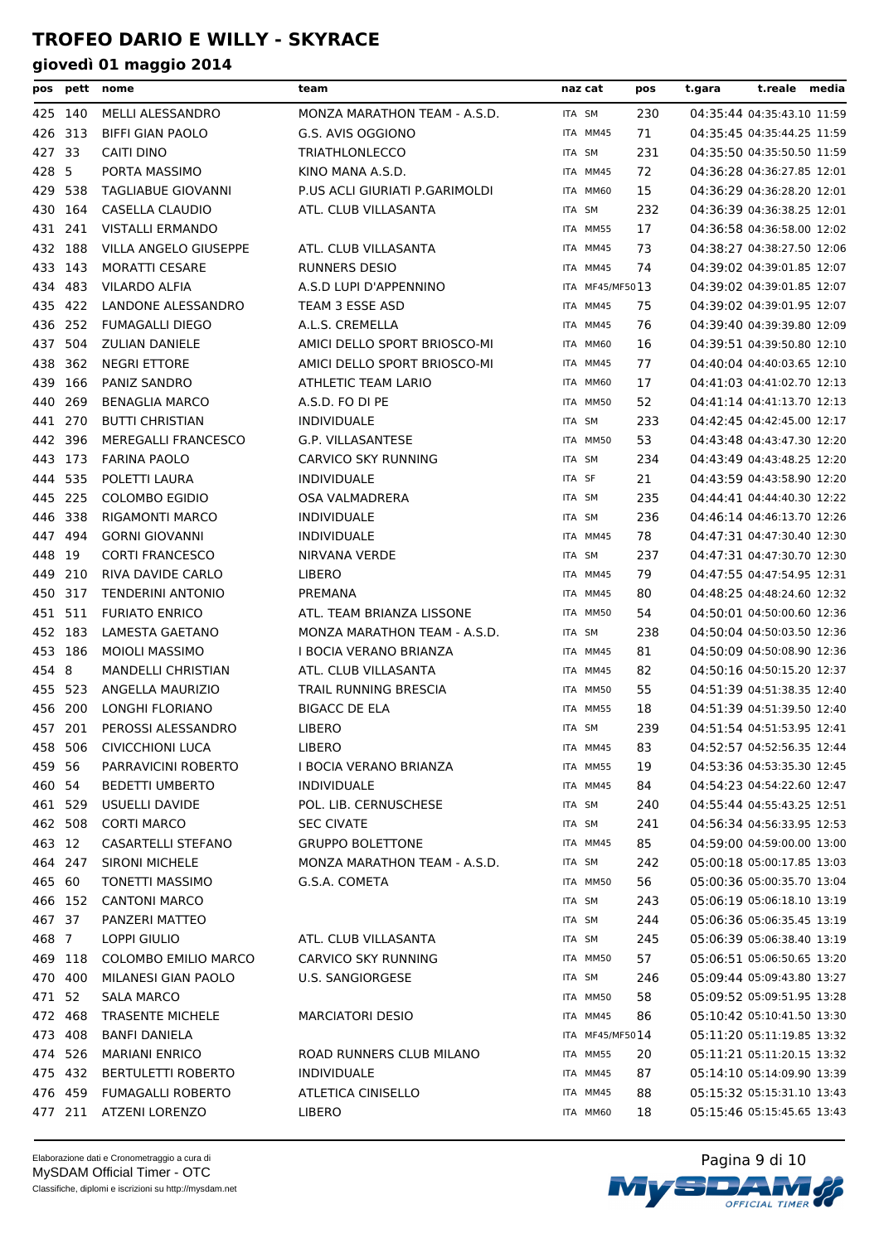| pos     |         | pett nome                  | team                           |        | naz cat         | pos | t.gara | t.reale media              |  |
|---------|---------|----------------------------|--------------------------------|--------|-----------------|-----|--------|----------------------------|--|
| 425 140 |         | MELLI ALESSANDRO           | MONZA MARATHON TEAM - A.S.D.   | ITA SM |                 | 230 |        | 04:35:44 04:35:43.10 11:59 |  |
| 426     | 313     | <b>BIFFI GIAN PAOLO</b>    | G.S. AVIS OGGIONO              |        | ITA MM45        | 71  |        | 04:35:45 04:35:44.25 11:59 |  |
| 427 33  |         | <b>CAITI DINO</b>          | <b>TRIATHLONLECCO</b>          | ITA SM |                 | 231 |        | 04:35:50 04:35:50.50 11:59 |  |
| 428 5   |         | PORTA MASSIMO              | KINO MANA A.S.D.               |        | ITA MM45        | 72  |        | 04:36:28 04:36:27.85 12:01 |  |
| 429     | 538     | <b>TAGLIABUE GIOVANNI</b>  | P.US ACLI GIURIATI P.GARIMOLDI |        | ITA MM60        | 15  |        | 04:36:29 04:36:28.20 12:01 |  |
| 430 164 |         | CASELLA CLAUDIO            | ATL. CLUB VILLASANTA           | ITA SM |                 | 232 |        | 04:36:39 04:36:38.25 12:01 |  |
| 431 241 |         | <b>VISTALLI ERMANDO</b>    |                                |        | ITA MM55        | 17  |        | 04:36:58 04:36:58.00 12:02 |  |
| 432 188 |         | VILLA ANGELO GIUSEPPE      | ATL. CLUB VILLASANTA           |        | ITA MM45        | 73  |        | 04:38:27 04:38:27.50 12:06 |  |
| 433 143 |         | <b>MORATTI CESARE</b>      | <b>RUNNERS DESIO</b>           |        | ITA MM45        | 74  |        | 04:39:02 04:39:01.85 12:07 |  |
| 434 483 |         | VILARDO ALFIA              | A.S.D LUPI D'APPENNINO         |        | ITA MF45/MF5013 |     |        | 04:39:02 04:39:01.85 12:07 |  |
| 435 422 |         | LANDONE ALESSANDRO         | TEAM 3 ESSE ASD                |        | ITA MM45        | 75  |        | 04:39:02 04:39:01.95 12:07 |  |
| 436 252 |         | <b>FUMAGALLI DIEGO</b>     | A.L.S. CREMELLA                |        | ITA MM45        | 76  |        | 04:39:40 04:39:39.80 12:09 |  |
| 437     | 504     | <b>ZULIAN DANIELE</b>      | AMICI DELLO SPORT BRIOSCO-MI   |        | ITA MM60        | 16  |        | 04:39:51 04:39:50.80 12:10 |  |
| 438     | 362     | <b>NEGRI ETTORE</b>        | AMICI DELLO SPORT BRIOSCO-MI   |        | ITA MM45        | 77  |        | 04:40:04 04:40:03.65 12:10 |  |
| 439     | 166     | PANIZ SANDRO               | ATHLETIC TEAM LARIO            |        | ITA MM60        | 17  |        | 04:41:03 04:41:02.70 12:13 |  |
| 440     | 269     | <b>BENAGLIA MARCO</b>      | A.S.D. FO DI PE                |        | ITA MM50        | 52  |        | 04:41:14 04:41:13.70 12:13 |  |
| 441 270 |         | <b>BUTTI CHRISTIAN</b>     | <b>INDIVIDUALE</b>             | ITA SM |                 | 233 |        | 04:42:45 04:42:45.00 12:17 |  |
| 442 396 |         | <b>MEREGALLI FRANCESCO</b> | G.P. VILLASANTESE              |        | ITA MM50        | 53  |        | 04:43:48 04:43:47.30 12:20 |  |
| 443 173 |         | <b>FARINA PAOLO</b>        | <b>CARVICO SKY RUNNING</b>     | ITA SM |                 | 234 |        | 04:43:49 04:43:48.25 12:20 |  |
| 444     | 535     | POLETTI LAURA              | <b>INDIVIDUALE</b>             | ITA SF |                 | 21  |        | 04:43:59 04:43:58.90 12:20 |  |
| 445 225 |         | <b>COLOMBO EGIDIO</b>      | OSA VALMADRERA                 | ITA SM |                 | 235 |        | 04:44:41 04:44:40.30 12:22 |  |
| 446 338 |         | <b>RIGAMONTI MARCO</b>     | <b>INDIVIDUALE</b>             | ITA SM |                 | 236 |        | 04:46:14 04:46:13.70 12:26 |  |
| 447 494 |         | <b>GORNI GIOVANNI</b>      | <b>INDIVIDUALE</b>             |        | ITA MM45        | 78  |        | 04:47:31 04:47:30.40 12:30 |  |
| 448 19  |         | <b>CORTI FRANCESCO</b>     | NIRVANA VERDE                  | ITA SM |                 | 237 |        | 04:47:31 04:47:30.70 12:30 |  |
| 449 210 |         | RIVA DAVIDE CARLO          | <b>LIBERO</b>                  |        | ITA MM45        | 79  |        | 04:47:55 04:47:54.95 12:31 |  |
| 450     | 317     | <b>TENDERINI ANTONIO</b>   | PREMANA                        |        | ITA MM45        | 80  |        | 04:48:25 04:48:24.60 12:32 |  |
| 451     | 511     | <b>FURIATO ENRICO</b>      | ATL. TEAM BRIANZA LISSONE      |        | ITA MM50        | 54  |        | 04:50:01 04:50:00.60 12:36 |  |
| 452 183 |         | LAMESTA GAETANO            | MONZA MARATHON TEAM - A.S.D.   | ITA SM |                 | 238 |        | 04:50:04 04:50:03.50 12:36 |  |
| 453 186 |         | <b>MOIOLI MASSIMO</b>      | I BOCIA VERANO BRIANZA         |        | ITA MM45        | 81  |        | 04:50:09 04:50:08.90 12:36 |  |
| 454 8   |         | MANDELLI CHRISTIAN         | ATL. CLUB VILLASANTA           |        | ITA MM45        | 82  |        | 04:50:16 04:50:15.20 12:37 |  |
| 455 523 |         | ANGELLA MAURIZIO           | TRAIL RUNNING BRESCIA          |        | ITA MM50        | 55  |        | 04:51:39 04:51:38.35 12:40 |  |
| 456 200 |         | LONGHI FLORIANO            | <b>BIGACC DE ELA</b>           |        | ITA MM55        | 18  |        | 04:51:39 04:51:39.50 12:40 |  |
| 457 201 |         | PEROSSI ALESSANDRO         | <b>LIBERO</b>                  |        | ITA SM          | 239 |        | 04:51:54 04:51:53.95 12:41 |  |
|         |         | 458 506 CIVICCHIONI LUCA   | LIBERO                         |        | ITA MM45        | 83  |        | 04:52:57 04:52:56.35 12:44 |  |
| 459 56  |         | PARRAVICINI ROBERTO        | I BOCIA VERANO BRIANZA         |        | ITA MM55        | 19  |        | 04:53:36 04:53:35.30 12:45 |  |
| 460 54  |         | <b>BEDETTI UMBERTO</b>     | INDIVIDUALE                    |        | ITA MM45        | 84  |        | 04:54:23 04:54:22.60 12:47 |  |
| 461 529 |         | USUELLI DAVIDE             | POL. LIB. CERNUSCHESE          | ITA SM |                 | 240 |        | 04:55:44 04:55:43.25 12:51 |  |
| 462 508 |         | <b>CORTI MARCO</b>         | <b>SEC CIVATE</b>              |        | ITA SM          | 241 |        | 04:56:34 04:56:33.95 12:53 |  |
| 463 12  |         | CASARTELLI STEFANO         | <b>GRUPPO BOLETTONE</b>        |        | ITA MM45        | 85  |        | 04:59:00 04:59:00.00 13:00 |  |
| 464 247 |         | <b>SIRONI MICHELE</b>      | MONZA MARATHON TEAM - A.S.D.   | ITA SM |                 | 242 |        | 05:00:18 05:00:17.85 13:03 |  |
| 465 60  |         | <b>TONETTI MASSIMO</b>     | G.S.A. COMETA                  |        | ITA MM50        | 56  |        | 05:00:36 05:00:35.70 13:04 |  |
| 466 152 |         | <b>CANTONI MARCO</b>       |                                | ITA SM |                 | 243 |        | 05:06:19 05:06:18.10 13:19 |  |
| 467 37  |         | PANZERI MATTEO             |                                | ITA SM |                 | 244 |        | 05:06:36 05:06:35.45 13:19 |  |
| 468 7   |         | LOPPI GIULIO               | ATL. CLUB VILLASANTA           | ITA SM |                 | 245 |        | 05:06:39 05:06:38.40 13:19 |  |
| 469 118 |         | COLOMBO EMILIO MARCO       | CARVICO SKY RUNNING            |        | ITA MM50        | 57  |        | 05:06:51 05:06:50.65 13:20 |  |
| 470 400 |         | MILANESI GIAN PAOLO        | <b>U.S. SANGIORGESE</b>        | ITA SM |                 | 246 |        | 05:09:44 05:09:43.80 13:27 |  |
| 471 52  |         | SALA MARCO                 |                                |        | ITA MM50        | 58  |        | 05:09:52 05:09:51.95 13:28 |  |
| 472 468 |         | <b>TRASENTE MICHELE</b>    | <b>MARCIATORI DESIO</b>        |        | ITA MM45        | 86  |        | 05:10:42 05:10:41.50 13:30 |  |
| 473 408 |         | <b>BANFI DANIELA</b>       |                                |        | ITA MF45/MF5014 |     |        | 05:11:20 05:11:19.85 13:32 |  |
| 474 526 |         | <b>MARIANI ENRICO</b>      | ROAD RUNNERS CLUB MILANO       |        | ITA MM55        | 20  |        | 05:11:21 05:11:20.15 13:32 |  |
|         | 475 432 | <b>BERTULETTI ROBERTO</b>  | <b>INDIVIDUALE</b>             |        | ITA MM45        | 87  |        | 05:14:10 05:14:09.90 13:39 |  |
| 476 459 |         | <b>FUMAGALLI ROBERTO</b>   | <b>ATLETICA CINISELLO</b>      |        | ITA MM45        | 88  |        | 05:15:32 05:15:31.10 13:43 |  |
|         | 477 211 | <b>ATZENI LORENZO</b>      | LIBERO                         |        | ITA MM60        | 18  |        | 05:15:46 05:15:45.65 13:43 |  |